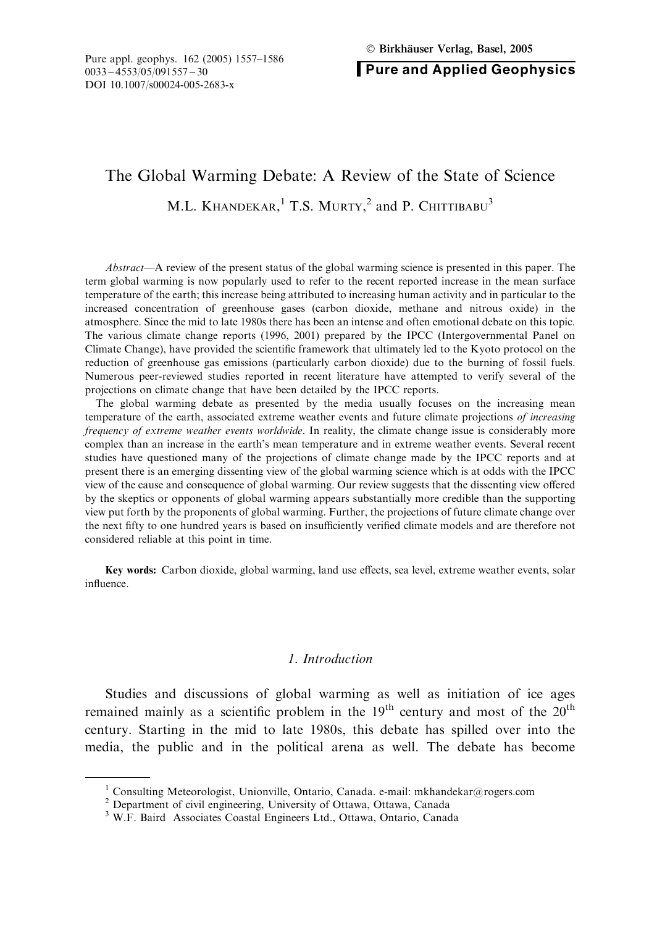Pure and Applied Geophysics

# The Global Warming Debate: A Review of the State of Science

M.L. KHANDEKAR,<sup>1</sup> T.S. MURTY,<sup>2</sup> and P. Chittibabu<sup>3</sup>

Abstract—A review of the present status of the global warming science is presented in this paper. The term global warming is now popularly used to refer to the recent reported increase in the mean surface temperature of the earth; this increase being attributed to increasing human activity and in particular to the increased concentration of greenhouse gases (carbon dioxide, methane and nitrous oxide) in the atmosphere. Since the mid to late 1980s there has been an intense and often emotional debate on this topic. The various climate change reports (1996, 2001) prepared by the IPCC (Intergovernmental Panel on Climate Change), have provided the scientific framework that ultimately led to the Kyoto protocol on the reduction of greenhouse gas emissions (particularly carbon dioxide) due to the burning of fossil fuels. Numerous peer-reviewed studies reported in recent literature have attempted to verify several of the projections on climate change that have been detailed by the IPCC reports.

The global warming debate as presented by the media usually focuses on the increasing mean temperature of the earth, associated extreme weather events and future climate projections of increasing frequency of extreme weather events worldwide. In reality, the climate change issue is considerably more complex than an increase in the earth's mean temperature and in extreme weather events. Several recent studies have questioned many of the projections of climate change made by the IPCC reports and at present there is an emerging dissenting view of the global warming science which is at odds with the IPCC view of the cause and consequence of global warming. Our review suggests that the dissenting view offered by the skeptics or opponents of global warming appears substantially more credible than the supporting view put forth by the proponents of global warming. Further, the projections of future climate change over the next fifty to one hundred years is based on insufficiently verified climate models and are therefore not considered reliable at this point in time.

Key words: Carbon dioxide, global warming, land use effects, sea level, extreme weather events, solar influence.

#### 1. Introduction

Studies and discussions of global warming as well as initiation of ice ages remained mainly as a scientific problem in the  $19<sup>th</sup>$  century and most of the  $20<sup>th</sup>$ century. Starting in the mid to late 1980s, this debate has spilled over into the media, the public and in the political arena as well. The debate has become

<sup>&</sup>lt;sup>1</sup> Consulting Meteorologist, Unionville, Ontario, Canada. e-mail: mkhandekar@rogers.com

<sup>2</sup> Department of civil engineering, University of Ottawa, Ottawa, Canada

<sup>3</sup> W.F. Baird Associates Coastal Engineers Ltd., Ottawa, Ontario, Canada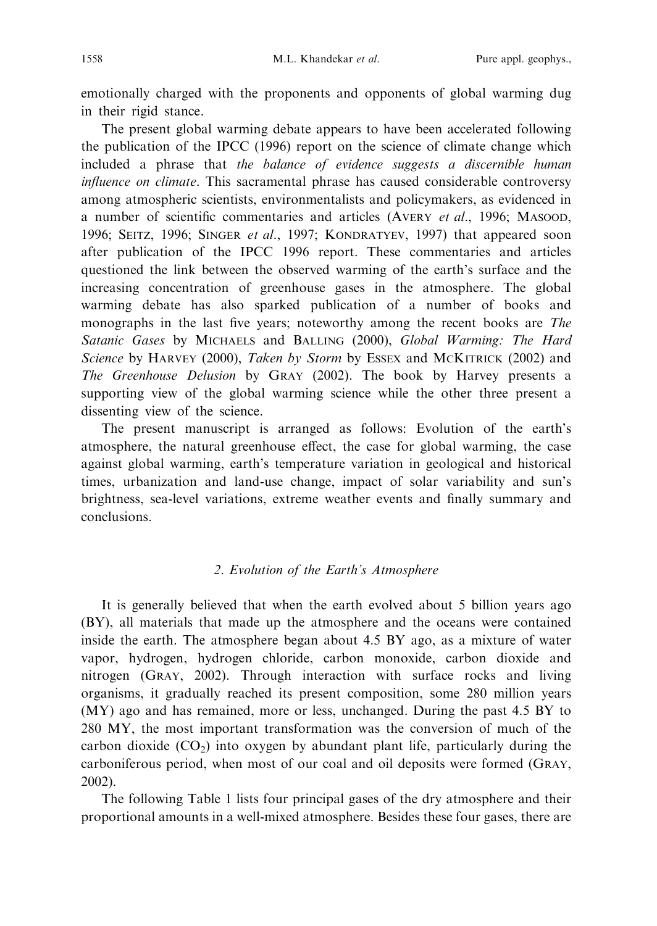emotionally charged with the proponents and opponents of global warming dug in their rigid stance.

The present global warming debate appears to have been accelerated following the publication of the IPCC (1996) report on the science of climate change which included a phrase that the balance of evidence suggests a discernible human influence on climate. This sacramental phrase has caused considerable controversy among atmospheric scientists, environmentalists and policymakers, as evidenced in a number of scientific commentaries and articles (AVERY et al., 1996; MASOOD, 1996; SEITZ, 1996; SINGER et al., 1997; KONDRATYEV, 1997) that appeared soon after publication of the IPCC 1996 report. These commentaries and articles questioned the link between the observed warming of the earth's surface and the increasing concentration of greenhouse gases in the atmosphere. The global warming debate has also sparked publication of a number of books and monographs in the last five years; noteworthy among the recent books are The Satanic Gases by MICHAELS and BALLING (2000), Global Warming: The Hard Science by HARVEY (2000), Taken by Storm by ESSEX and MCKITRICK (2002) and The Greenhouse Delusion by GRAY (2002). The book by Harvey presents a supporting view of the global warming science while the other three present a dissenting view of the science.

The present manuscript is arranged as follows: Evolution of the earth's atmosphere, the natural greenhouse effect, the case for global warming, the case against global warming, earth's temperature variation in geological and historical times, urbanization and land-use change, impact of solar variability and sun's brightness, sea-level variations, extreme weather events and finally summary and conclusions.

# 2. Evolution of the Earth's Atmosphere

It is generally believed that when the earth evolved about 5 billion years ago (BY), all materials that made up the atmosphere and the oceans were contained inside the earth. The atmosphere began about 4.5 BY ago, as a mixture of water vapor, hydrogen, hydrogen chloride, carbon monoxide, carbon dioxide and nitrogen (GRAY, 2002). Through interaction with surface rocks and living organisms, it gradually reached its present composition, some 280 million years (MY) ago and has remained, more or less, unchanged. During the past 4.5 BY to 280 MY, the most important transformation was the conversion of much of the carbon dioxide  $(CO<sub>2</sub>)$  into oxygen by abundant plant life, particularly during the carboniferous period, when most of our coal and oil deposits were formed (GRAY, 2002).

The following Table 1 lists four principal gases of the dry atmosphere and their proportional amounts in a well-mixed atmosphere. Besides these four gases, there are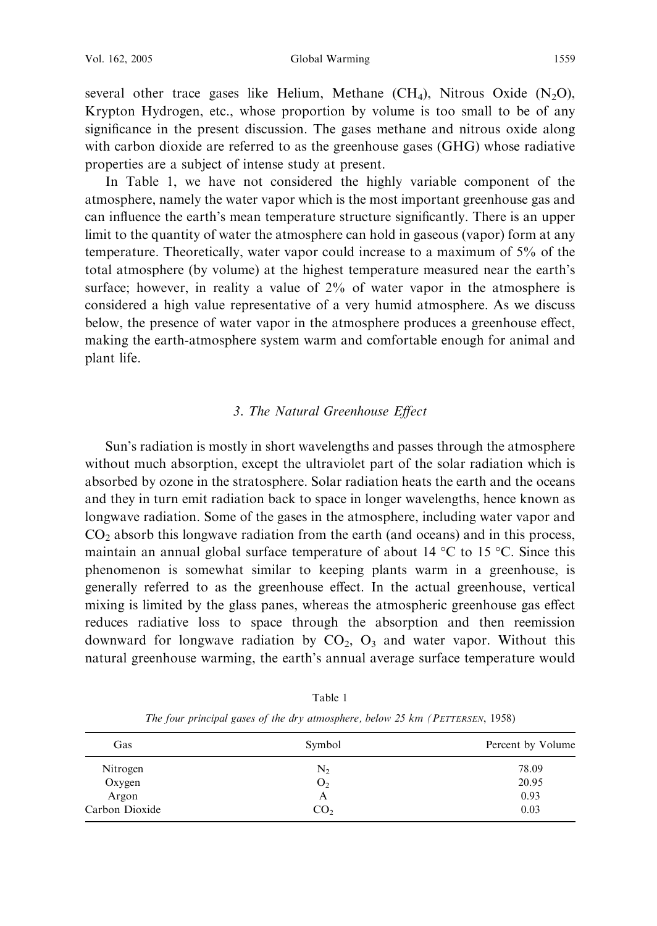several other trace gases like Helium, Methane (CH<sub>4</sub>), Nitrous Oxide (N<sub>2</sub>O), Krypton Hydrogen, etc., whose proportion by volume is too small to be of any significance in the present discussion. The gases methane and nitrous oxide along with carbon dioxide are referred to as the greenhouse gases (GHG) whose radiative properties are a subject of intense study at present.

In Table 1, we have not considered the highly variable component of the atmosphere, namely the water vapor which is the most important greenhouse gas and can influence the earth's mean temperature structure significantly. There is an upper limit to the quantity of water the atmosphere can hold in gaseous (vapor) form at any temperature. Theoretically, water vapor could increase to a maximum of 5% of the total atmosphere (by volume) at the highest temperature measured near the earth's surface; however, in reality a value of 2% of water vapor in the atmosphere is considered a high value representative of a very humid atmosphere. As we discuss below, the presence of water vapor in the atmosphere produces a greenhouse effect, making the earth-atmosphere system warm and comfortable enough for animal and plant life.

### 3. The Natural Greenhouse Effect

Sun's radiation is mostly in short wavelengths and passes through the atmosphere without much absorption, except the ultraviolet part of the solar radiation which is absorbed by ozone in the stratosphere. Solar radiation heats the earth and the oceans and they in turn emit radiation back to space in longer wavelengths, hence known as longwave radiation. Some of the gases in the atmosphere, including water vapor and  $CO<sub>2</sub>$  absorb this longwave radiation from the earth (and oceans) and in this process, maintain an annual global surface temperature of about 14  $\rm{°C}$  to 15  $\rm{°C}$ . Since this phenomenon is somewhat similar to keeping plants warm in a greenhouse, is generally referred to as the greenhouse effect. In the actual greenhouse, vertical mixing is limited by the glass panes, whereas the atmospheric greenhouse gas effect reduces radiative loss to space through the absorption and then reemission downward for longwave radiation by  $CO<sub>2</sub>$ ,  $O<sub>3</sub>$  and water vapor. Without this natural greenhouse warming, the earth's annual average surface temperature would

| Symbol<br>Gas<br>$\mathrm{N}_2$<br>Nitrogen<br>Oxygen<br>O <sub>2</sub><br>Argon<br>А |                   |
|---------------------------------------------------------------------------------------|-------------------|
|                                                                                       | Percent by Volume |
|                                                                                       | 78.09             |
|                                                                                       | 20.95             |
|                                                                                       | 0.93              |
| Carbon Dioxide<br>CO <sub>2</sub>                                                     | 0.03              |

Table 1 The four principal gases of the dry atmosphere, below 25 km (PETTERSEN, 1958)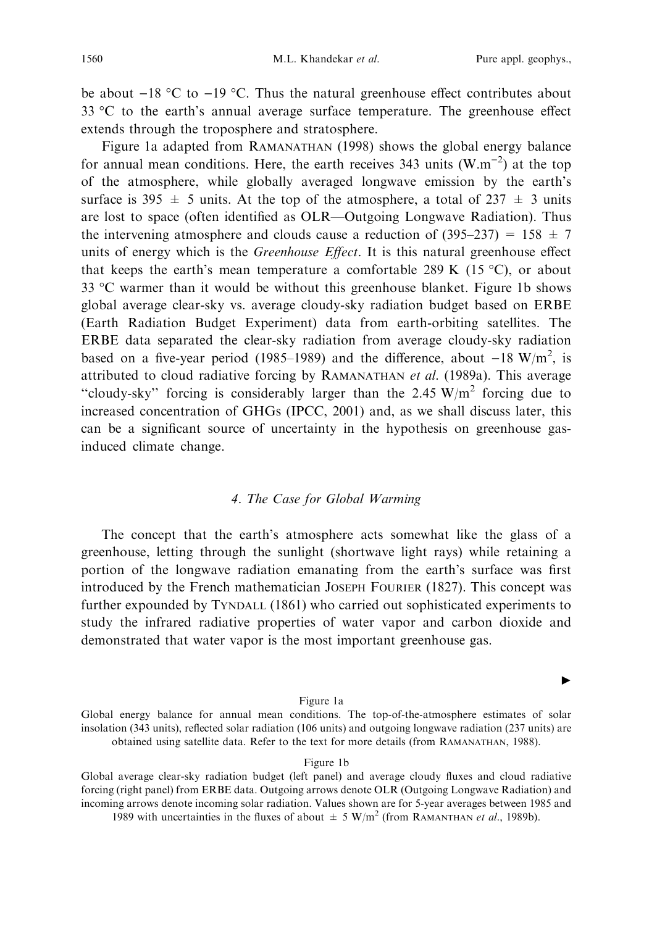$\blacktriangleright$ 

be about  $-18$  °C to  $-19$  °C. Thus the natural greenhouse effect contributes about 33 °C to the earth's annual average surface temperature. The greenhouse effect extends through the troposphere and stratosphere.

Figure 1a adapted from RAMANATHAN (1998) shows the global energy balance for annual mean conditions. Here, the earth receives 343 units  $(W.m^{-2})$  at the top of the atmosphere, while globally averaged longwave emission by the earth's surface is 395  $\pm$  5 units. At the top of the atmosphere, a total of 237  $\pm$  3 units are lost to space (often identified as OLR—Outgoing Longwave Radiation). Thus the intervening atmosphere and clouds cause a reduction of  $(395-237) = 158 \pm 7$ units of energy which is the *Greenhouse Effect*. It is this natural greenhouse effect that keeps the earth's mean temperature a comfortable 289 K (15 °C), or about 33  $\degree$ C warmer than it would be without this greenhouse blanket. Figure 1b shows global average clear-sky vs. average cloudy-sky radiation budget based on ERBE (Earth Radiation Budget Experiment) data from earth-orbiting satellites. The ERBE data separated the clear-sky radiation from average cloudy-sky radiation based on a five-year period (1985–1989) and the difference, about  $-18 \text{ W/m}^2$ , is attributed to cloud radiative forcing by RAMANATHAN et al. (1989a). This average "cloudy-sky" forcing is considerably larger than the 2.45  $W/m^2$  forcing due to increased concentration of GHGs (IPCC, 2001) and, as we shall discuss later, this can be a significant source of uncertainty in the hypothesis on greenhouse gasinduced climate change.

#### 4. The Case for Global Warming

The concept that the earth's atmosphere acts somewhat like the glass of a greenhouse, letting through the sunlight (shortwave light rays) while retaining a portion of the longwave radiation emanating from the earth's surface was first introduced by the French mathematician JOSEPH FOURIER (1827). This concept was further expounded by TYNDALL (1861) who carried out sophisticated experiments to study the infrared radiative properties of water vapor and carbon dioxide and demonstrated that water vapor is the most important greenhouse gas.

#### Figure 1a

Global energy balance for annual mean conditions. The top-of-the-atmosphere estimates of solar insolation (343 units), reflected solar radiation (106 units) and outgoing longwave radiation (237 units) are obtained using satellite data. Refer to the text for more details (from RAMANATHAN, 1988).

#### Figure 1b

Global average clear-sky radiation budget (left panel) and average cloudy fluxes and cloud radiative forcing (right panel) from ERBE data. Outgoing arrows denote OLR (Outgoing Longwave Radiation) and incoming arrows denote incoming solar radiation. Values shown are for 5-year averages between 1985 and 1989 with uncertainties in the fluxes of about  $\pm 5$  W/m<sup>2</sup> (from RAMANTHAN *et al.*, 1989b).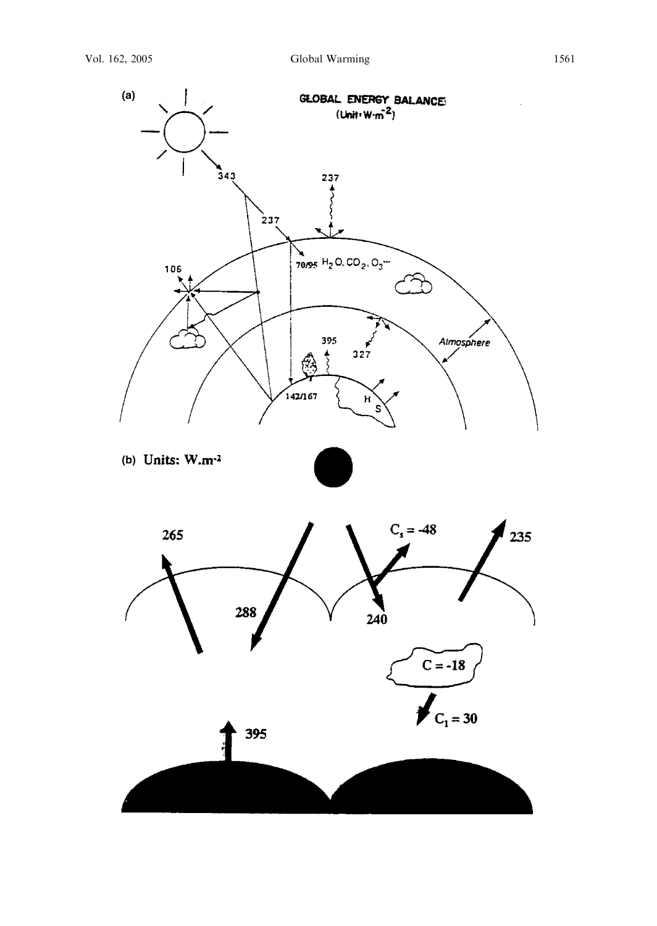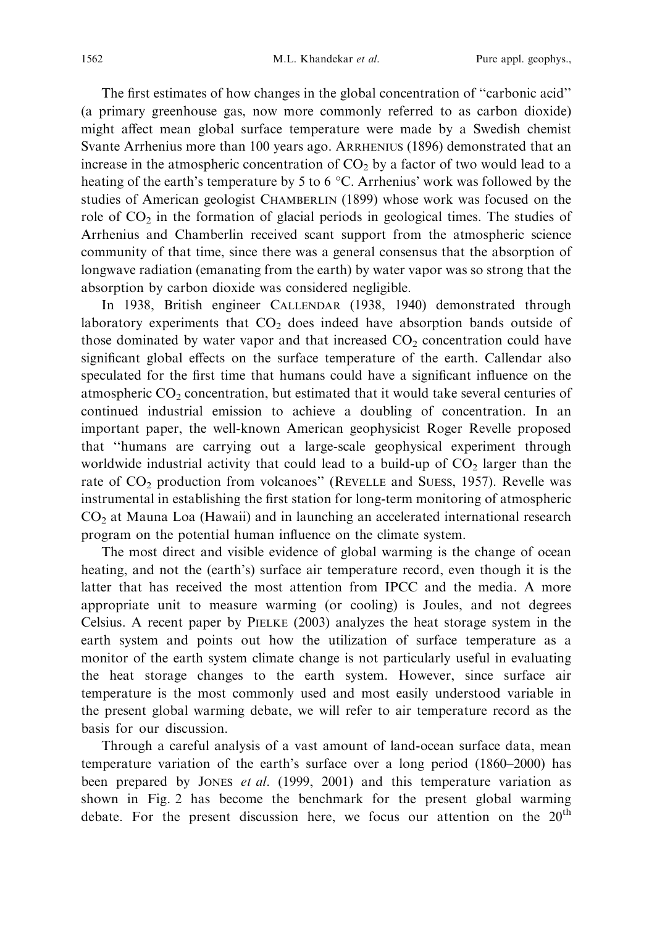The first estimates of how changes in the global concentration of ''carbonic acid'' (a primary greenhouse gas, now more commonly referred to as carbon dioxide) might affect mean global surface temperature were made by a Swedish chemist Svante Arrhenius more than 100 years ago. ARRHENIUS (1896) demonstrated that an increase in the atmospheric concentration of  $CO<sub>2</sub>$  by a factor of two would lead to a heating of the earth's temperature by 5 to 6  $\degree$ C. Arrhenius' work was followed by the studies of American geologist CHAMBERLIN (1899) whose work was focused on the role of  $CO<sub>2</sub>$  in the formation of glacial periods in geological times. The studies of Arrhenius and Chamberlin received scant support from the atmospheric science community of that time, since there was a general consensus that the absorption of longwave radiation (emanating from the earth) by water vapor was so strong that the absorption by carbon dioxide was considered negligible.

In 1938, British engineer CALLENDAR (1938, 1940) demonstrated through laboratory experiments that  $CO<sub>2</sub>$  does indeed have absorption bands outside of those dominated by water vapor and that increased  $CO<sub>2</sub>$  concentration could have significant global effects on the surface temperature of the earth. Callendar also speculated for the first time that humans could have a significant influence on the atmospheric  $CO<sub>2</sub>$  concentration, but estimated that it would take several centuries of continued industrial emission to achieve a doubling of concentration. In an important paper, the well-known American geophysicist Roger Revelle proposed that ''humans are carrying out a large-scale geophysical experiment through worldwide industrial activity that could lead to a build-up of  $CO<sub>2</sub>$  larger than the rate of  $CO_2$  production from volcanoes" (REVELLE and SUESS, 1957). Revelle was instrumental in establishing the first station for long-term monitoring of atmospheric  $CO<sub>2</sub>$  at Mauna Loa (Hawaii) and in launching an accelerated international research program on the potential human influence on the climate system.

The most direct and visible evidence of global warming is the change of ocean heating, and not the (earth's) surface air temperature record, even though it is the latter that has received the most attention from IPCC and the media. A more appropriate unit to measure warming (or cooling) is Joules, and not degrees Celsius. A recent paper by PIELKE (2003) analyzes the heat storage system in the earth system and points out how the utilization of surface temperature as a monitor of the earth system climate change is not particularly useful in evaluating the heat storage changes to the earth system. However, since surface air temperature is the most commonly used and most easily understood variable in the present global warming debate, we will refer to air temperature record as the basis for our discussion.

Through a careful analysis of a vast amount of land-ocean surface data, mean temperature variation of the earth's surface over a long period (1860–2000) has been prepared by JONES et al. (1999, 2001) and this temperature variation as shown in Fig. 2 has become the benchmark for the present global warming debate. For the present discussion here, we focus our attention on the  $20<sup>th</sup>$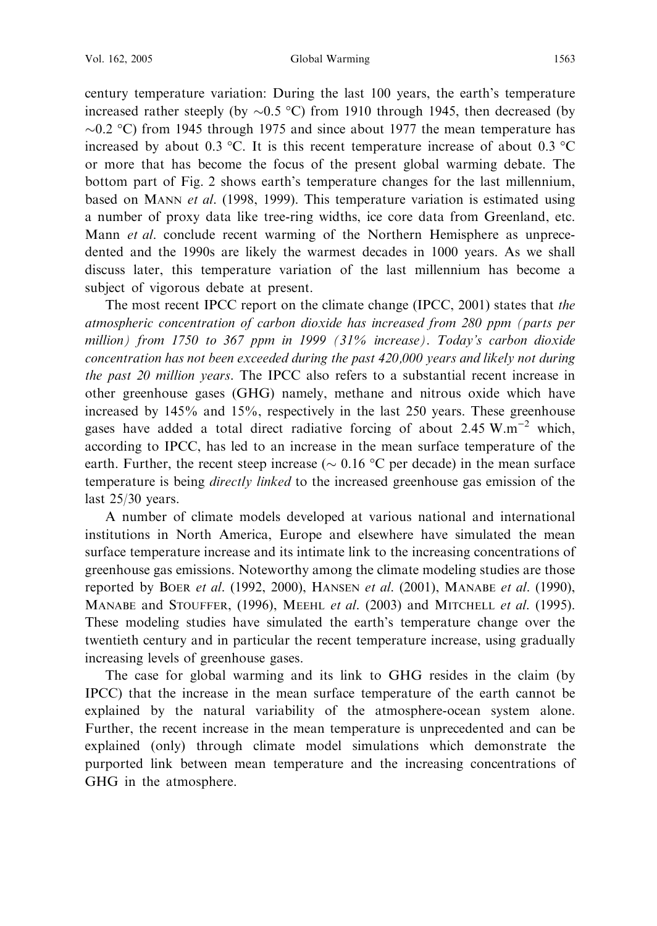century temperature variation: During the last 100 years, the earth's temperature increased rather steeply (by  $\sim 0.5$  °C) from 1910 through 1945, then decreased (by  $\sim$ 0.2 °C) from 1945 through 1975 and since about 1977 the mean temperature has increased by about 0.3 °C. It is this recent temperature increase of about 0.3 °C or more that has become the focus of the present global warming debate. The bottom part of Fig. 2 shows earth's temperature changes for the last millennium, based on MANN *et al.* (1998, 1999). This temperature variation is estimated using a number of proxy data like tree-ring widths, ice core data from Greenland, etc. Mann *et al.* conclude recent warming of the Northern Hemisphere as unprecedented and the 1990s are likely the warmest decades in 1000 years. As we shall discuss later, this temperature variation of the last millennium has become a subject of vigorous debate at present.

The most recent IPCC report on the climate change (IPCC, 2001) states that the atmospheric concentration of carbon dioxide has increased from 280 ppm (parts per million) from 1750 to 367 ppm in 1999 (31% increase). Today's carbon dioxide concentration has not been exceeded during the past 420,000 years and likely not during the past 20 million years. The IPCC also refers to a substantial recent increase in other greenhouse gases (GHG) namely, methane and nitrous oxide which have increased by 145% and 15%, respectively in the last 250 years. These greenhouse gases have added a total direct radiative forcing of about  $2.45 \text{ W.m}^{-2}$  which. according to IPCC, has led to an increase in the mean surface temperature of the earth. Further, the recent steep increase ( $\sim 0.16$  °C per decade) in the mean surface temperature is being *directly linked* to the increased greenhouse gas emission of the last 25/30 years.

A number of climate models developed at various national and international institutions in North America, Europe and elsewhere have simulated the mean surface temperature increase and its intimate link to the increasing concentrations of greenhouse gas emissions. Noteworthy among the climate modeling studies are those reported by BOER et al.  $(1992, 2000)$ , HANSEN et al.  $(2001)$ , MANABE et al.  $(1990)$ , MANABE and STOUFFER, (1996), MEEHL et al. (2003) and MITCHELL et al. (1995). These modeling studies have simulated the earth's temperature change over the twentieth century and in particular the recent temperature increase, using gradually increasing levels of greenhouse gases.

The case for global warming and its link to GHG resides in the claim (by IPCC) that the increase in the mean surface temperature of the earth cannot be explained by the natural variability of the atmosphere-ocean system alone. Further, the recent increase in the mean temperature is unprecedented and can be explained (only) through climate model simulations which demonstrate the purported link between mean temperature and the increasing concentrations of GHG in the atmosphere.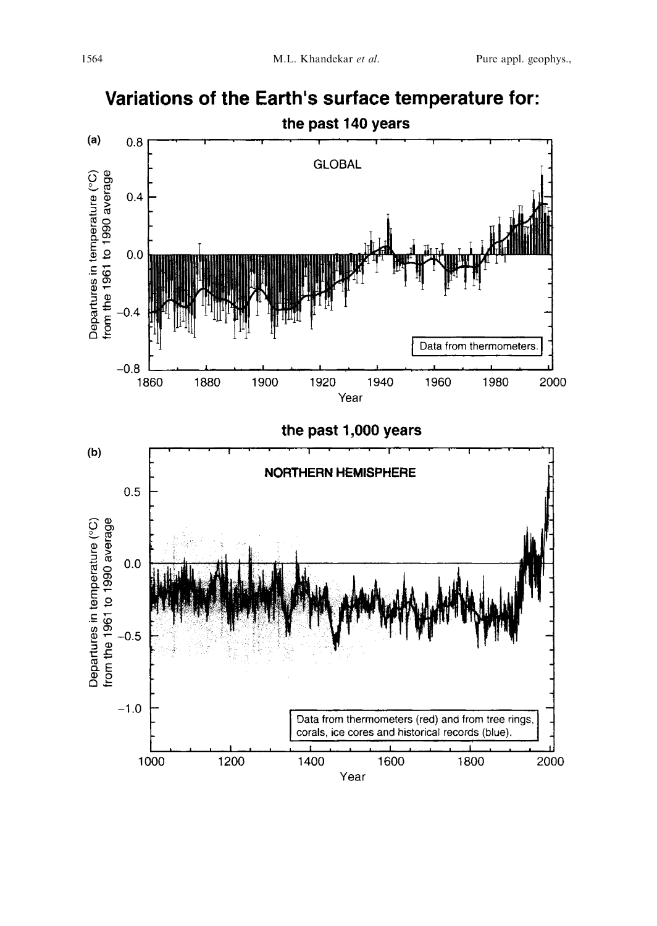

# Variations of the Earth's surface temperature for: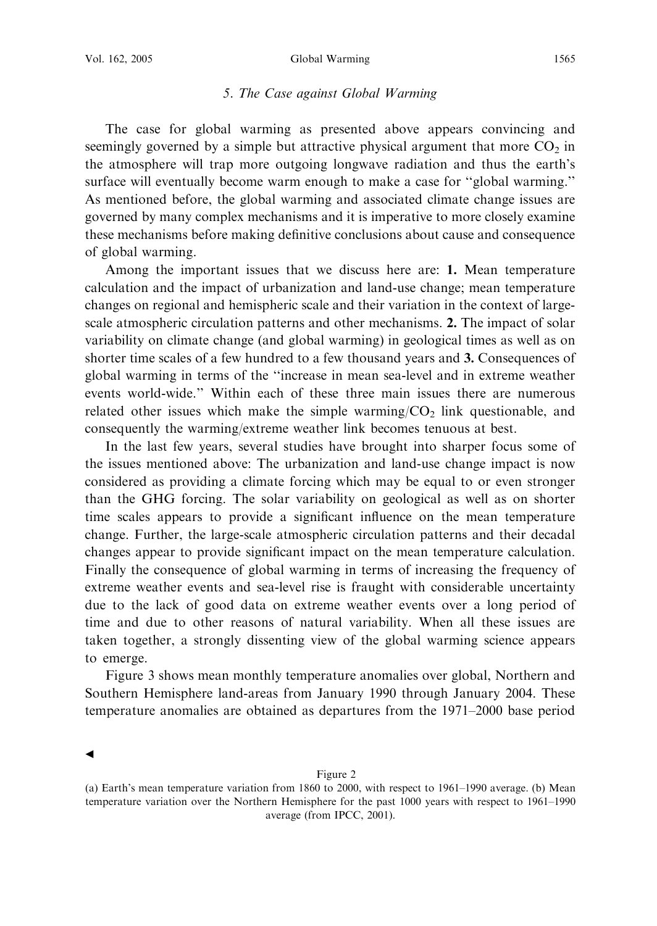# 5. The Case against Global Warming

The case for global warming as presented above appears convincing and seemingly governed by a simple but attractive physical argument that more  $CO<sub>2</sub>$  in the atmosphere will trap more outgoing longwave radiation and thus the earth's surface will eventually become warm enough to make a case for ''global warming.'' As mentioned before, the global warming and associated climate change issues are governed by many complex mechanisms and it is imperative to more closely examine these mechanisms before making definitive conclusions about cause and consequence of global warming.

Among the important issues that we discuss here are: 1. Mean temperature calculation and the impact of urbanization and land-use change; mean temperature changes on regional and hemispheric scale and their variation in the context of largescale atmospheric circulation patterns and other mechanisms. 2. The impact of solar variability on climate change (and global warming) in geological times as well as on shorter time scales of a few hundred to a few thousand years and 3. Consequences of global warming in terms of the ''increase in mean sea-level and in extreme weather events world-wide.'' Within each of these three main issues there are numerous related other issues which make the simple warming/ $CO<sub>2</sub>$  link questionable, and consequently the warming/extreme weather link becomes tenuous at best.

In the last few years, several studies have brought into sharper focus some of the issues mentioned above: The urbanization and land-use change impact is now considered as providing a climate forcing which may be equal to or even stronger than the GHG forcing. The solar variability on geological as well as on shorter time scales appears to provide a significant influence on the mean temperature change. Further, the large-scale atmospheric circulation patterns and their decadal changes appear to provide significant impact on the mean temperature calculation. Finally the consequence of global warming in terms of increasing the frequency of extreme weather events and sea-level rise is fraught with considerable uncertainty due to the lack of good data on extreme weather events over a long period of time and due to other reasons of natural variability. When all these issues are taken together, a strongly dissenting view of the global warming science appears to emerge.

Figure 3 shows mean monthly temperature anomalies over global, Northern and Southern Hemisphere land-areas from January 1990 through January 2004. These temperature anomalies are obtained as departures from the 1971–2000 base period

 $\blacktriangleleft$ 

Figure 2

<sup>(</sup>a) Earth's mean temperature variation from 1860 to 2000, with respect to 1961–1990 average. (b) Mean temperature variation over the Northern Hemisphere for the past 1000 years with respect to 1961–1990 average (from IPCC, 2001).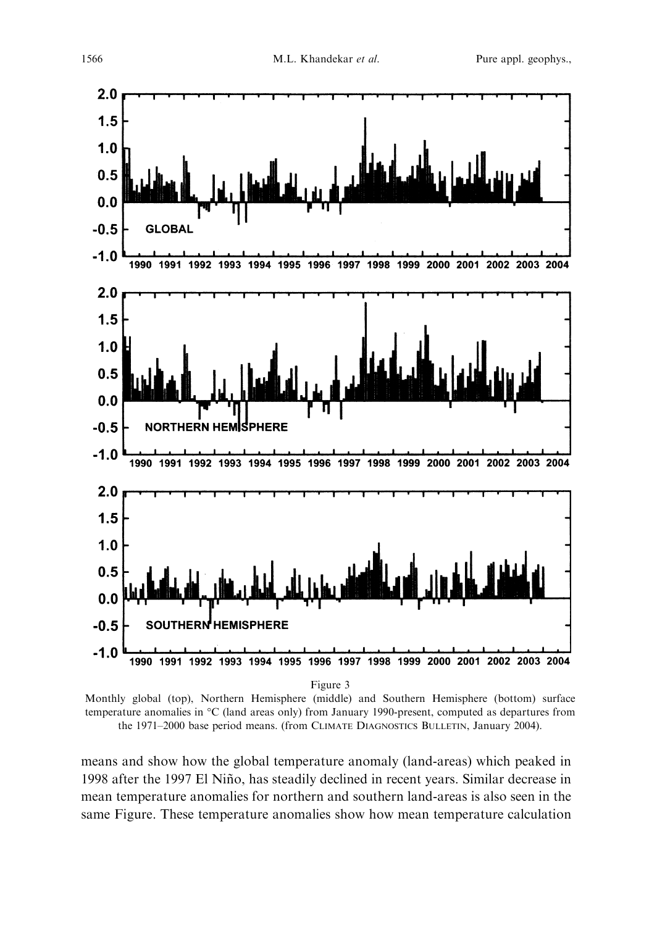

Monthly global (top), Northern Hemisphere (middle) and Southern Hemisphere (bottom) surface temperature anomalies in °C (land areas only) from January 1990-present, computed as departures from the 1971–2000 base period means. (from CLIMATE DIAGNOSTICS BULLETIN, January 2004).

means and show how the global temperature anomaly (land-areas) which peaked in 1998 after the 1997 El Niño, has steadily declined in recent years. Similar decrease in mean temperature anomalies for northern and southern land-areas is also seen in the same Figure. These temperature anomalies show how mean temperature calculation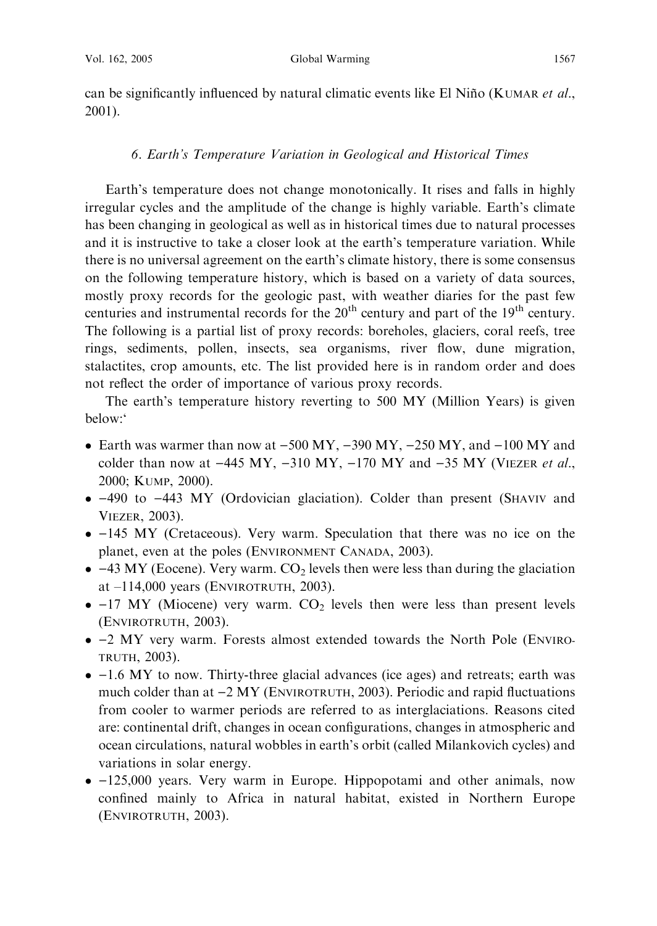can be significantly influenced by natural climatic events like El Niño (KUMAR et al., 2001).

### 6. Earth's Temperature Variation in Geological and Historical Times

Earth's temperature does not change monotonically. It rises and falls in highly irregular cycles and the amplitude of the change is highly variable. Earth's climate has been changing in geological as well as in historical times due to natural processes and it is instructive to take a closer look at the earth's temperature variation. While there is no universal agreement on the earth's climate history, there is some consensus on the following temperature history, which is based on a variety of data sources, mostly proxy records for the geologic past, with weather diaries for the past few centuries and instrumental records for the 20<sup>th</sup> century and part of the 19<sup>th</sup> century. The following is a partial list of proxy records: boreholes, glaciers, coral reefs, tree rings, sediments, pollen, insects, sea organisms, river flow, dune migration, stalactites, crop amounts, etc. The list provided here is in random order and does not reflect the order of importance of various proxy records.

The earth's temperature history reverting to 500 MY (Million Years) is given below:'

- Earth was warmer than now at  $-500 \text{ MY}$ ,  $-390 \text{ MY}$ ,  $-250 \text{ MY}$ , and  $-100 \text{ MY}$  and colder than now at  $-445$  MY,  $-310$  MY,  $-170$  MY and  $-35$  MY (VIEZER et al., 2000; KUMP, 2000).
- -490 to -443 MY (Ordovician glaciation). Colder than present (SHAVIV and VIEZER, 2003).
- -145 MY (Cretaceous). Very warm. Speculation that there was no ice on the planet, even at the poles (ENVIRONMENT CANADA, 2003).
- $\bullet$  -43 MY (Eocene). Very warm. CO<sub>2</sub> levels then were less than during the glaciation at –114,000 years (ENVIROTRUTH, 2003).
- $\bullet$  -17 MY (Miocene) very warm.  $CO<sub>2</sub>$  levels then were less than present levels (ENVIROTRUTH, 2003).
- -2 MY very warm. Forests almost extended towards the North Pole (ENVIRO-TRUTH, 2003).
- $\bullet$  -1.6 MY to now. Thirty-three glacial advances (ice ages) and retreats; earth was much colder than at  $-2$  MY (ENVIROTRUTH, 2003). Periodic and rapid fluctuations from cooler to warmer periods are referred to as interglaciations. Reasons cited are: continental drift, changes in ocean configurations, changes in atmospheric and ocean circulations, natural wobbles in earth's orbit (called Milankovich cycles) and variations in solar energy.
- -125,000 years. Very warm in Europe. Hippopotami and other animals, now confined mainly to Africa in natural habitat, existed in Northern Europe (ENVIROTRUTH, 2003).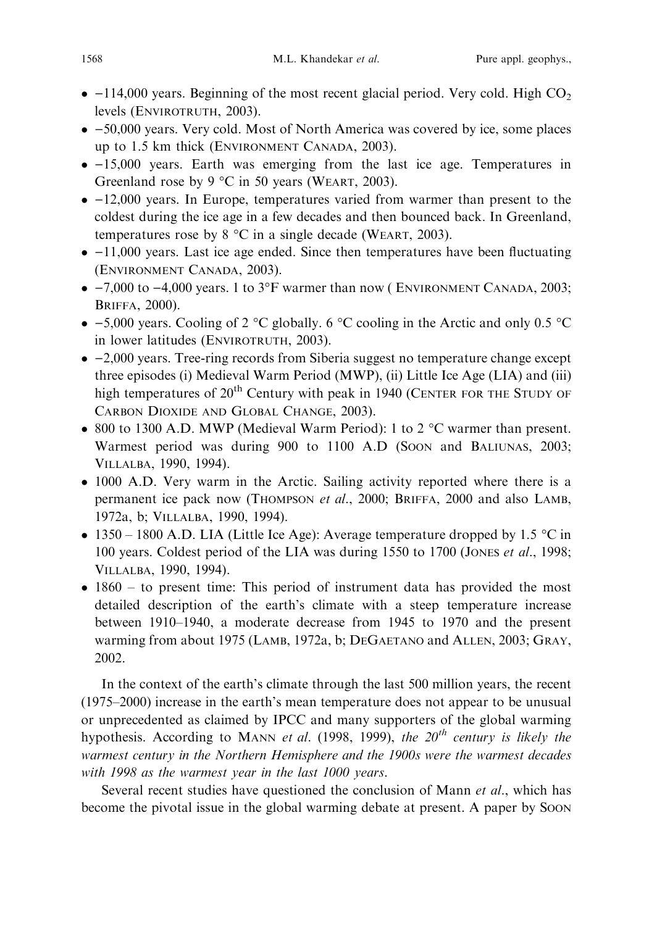- $\bullet$  -114,000 years. Beginning of the most recent glacial period. Very cold. High  $CO_2$ levels (ENVIROTRUTH, 2003).
- -50,000 years. Very cold. Most of North America was covered by ice, some places up to 1.5 km thick (ENVIRONMENT CANADA, 2003).
- -15,000 years. Earth was emerging from the last ice age. Temperatures in Greenland rose by 9  $\degree$ C in 50 years (WEART, 2003).
- $\bullet$  -12,000 years. In Europe, temperatures varied from warmer than present to the coldest during the ice age in a few decades and then bounced back. In Greenland, temperatures rose by  $8 \text{ °C}$  in a single decade (WEART, 2003).
- $\bullet$  -11,000 years. Last ice age ended. Since then temperatures have been fluctuating (ENVIRONMENT CANADA, 2003).
- $\bullet$  -7,000 to -4,000 years. 1 to 3°F warmer than now (ENVIRONMENT CANADA, 2003; BRIFFA, 2000).
- $-5,000$  years. Cooling of 2 °C globally. 6 °C cooling in the Arctic and only 0.5 °C in lower latitudes (ENVIROTRUTH, 2003).
- -2,000 years. Tree-ring records from Siberia suggest no temperature change except three episodes (i) Medieval Warm Period (MWP), (ii) Little Ice Age (LIA) and (iii) high temperatures of  $20<sup>th</sup>$  Century with peak in 1940 (CENTER FOR THE STUDY OF CARBON DIOXIDE AND GLOBAL CHANGE, 2003).
- 800 to 1300 A.D. MWP (Medieval Warm Period): 1 to 2  $^{\circ}$ C warmer than present. Warmest period was during 900 to 1100 A.D (Soon and BALIUNAS, 2003; VILLALBA, 1990, 1994).
- 1000 A.D. Very warm in the Arctic. Sailing activity reported where there is a permanent ice pack now (THOMPSON et al., 2000; BRIFFA, 2000 and also LAMB, 1972a, b; VILLALBA, 1990, 1994).
- 1350 1800 A.D. LIA (Little Ice Age): Average temperature dropped by 1.5  $\degree$ C in 100 years. Coldest period of the LIA was during 1550 to 1700 (JONES et al., 1998; VILLALBA, 1990, 1994).
- 1860 to present time: This period of instrument data has provided the most detailed description of the earth's climate with a steep temperature increase between 1910–1940, a moderate decrease from 1945 to 1970 and the present warming from about 1975 (LAMB, 1972a, b; DEGAETANO and ALLEN, 2003; GRAY, 2002.

In the context of the earth's climate through the last 500 million years, the recent (1975–2000) increase in the earth's mean temperature does not appear to be unusual or unprecedented as claimed by IPCC and many supporters of the global warming hypothesis. According to MANN et al. (1998, 1999), the  $20^{th}$  century is likely the warmest century in the Northern Hemisphere and the 1900s were the warmest decades with 1998 as the warmest year in the last 1000 years.

Several recent studies have questioned the conclusion of Mann et al., which has become the pivotal issue in the global warming debate at present. A paper by SOON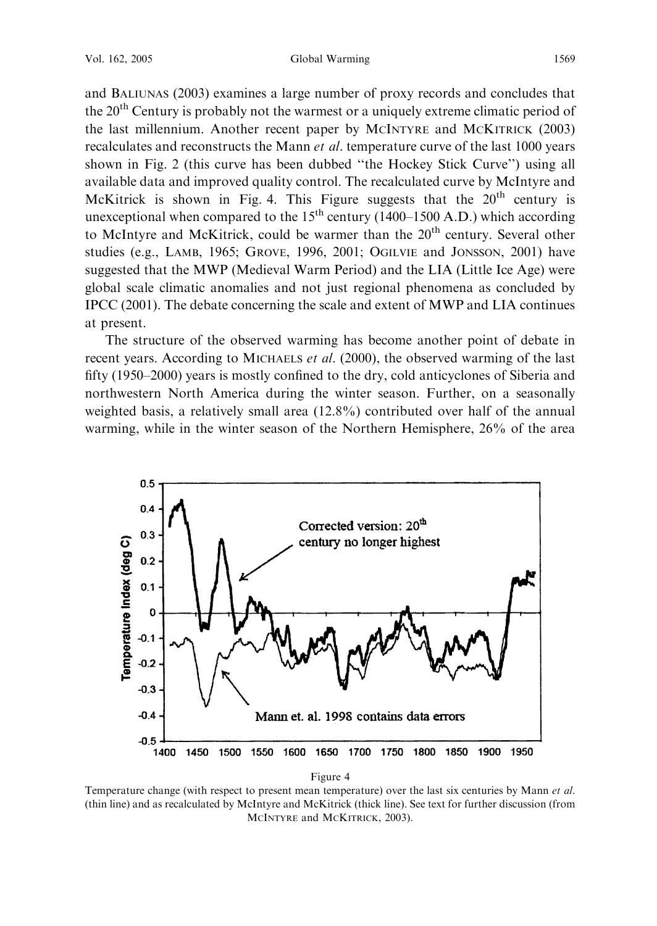Vol. 162, 2005 Global Warming 1569

and BALIUNAS (2003) examines a large number of proxy records and concludes that the 20<sup>th</sup> Century is probably not the warmest or a uniquely extreme climatic period of the last millennium. Another recent paper by MCINTYRE and MCKITRICK (2003) recalculates and reconstructs the Mann et al. temperature curve of the last 1000 years shown in Fig. 2 (this curve has been dubbed ''the Hockey Stick Curve'') using all available data and improved quality control. The recalculated curve by McIntyre and McKitrick is shown in Fig. 4. This Figure suggests that the  $20<sup>th</sup>$  century is unexceptional when compared to the  $15<sup>th</sup>$  century (1400–1500 A.D.) which according to McIntyre and McKitrick, could be warmer than the 20<sup>th</sup> century. Several other studies (e.g., LAMB, 1965; GROVE, 1996, 2001; OGILVIE and JONSSON, 2001) have suggested that the MWP (Medieval Warm Period) and the LIA (Little Ice Age) were global scale climatic anomalies and not just regional phenomena as concluded by IPCC (2001). The debate concerning the scale and extent of MWP and LIA continues at present.

The structure of the observed warming has become another point of debate in recent years. According to MICHAELS et al. (2000), the observed warming of the last fifty (1950–2000) years is mostly confined to the dry, cold anticyclones of Siberia and northwestern North America during the winter season. Further, on a seasonally weighted basis, a relatively small area (12.8%) contributed over half of the annual warming, while in the winter season of the Northern Hemisphere, 26% of the area



Temperature change (with respect to present mean temperature) over the last six centuries by Mann et al. (thin line) and as recalculated by McIntyre and McKitrick (thick line). See text for further discussion (from MCINTYRE and MCKITRICK, 2003).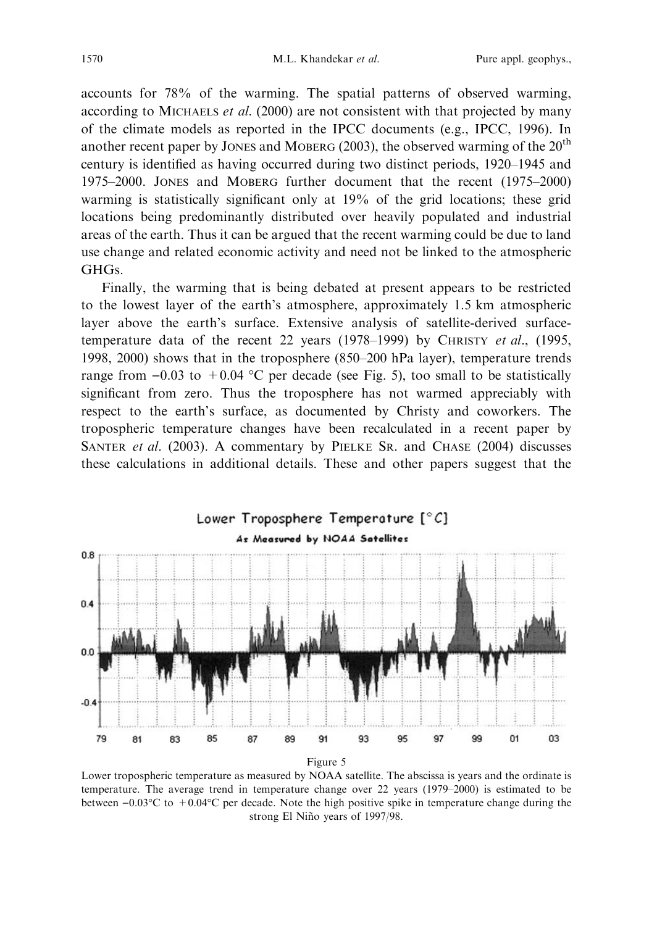accounts for 78% of the warming. The spatial patterns of observed warming, according to MICHAELS *et al.* (2000) are not consistent with that projected by many of the climate models as reported in the IPCC documents (e.g., IPCC, 1996). In another recent paper by JONES and MOBERG (2003), the observed warming of the  $20<sup>th</sup>$ century is identified as having occurred during two distinct periods, 1920–1945 and 1975–2000. JONES and MOBERG further document that the recent (1975–2000) warming is statistically significant only at 19% of the grid locations; these grid locations being predominantly distributed over heavily populated and industrial areas of the earth. Thus it can be argued that the recent warming could be due to land use change and related economic activity and need not be linked to the atmospheric GHGs.

Finally, the warming that is being debated at present appears to be restricted to the lowest layer of the earth's atmosphere, approximately 1.5 km atmospheric layer above the earth's surface. Extensive analysis of satellite-derived surfacetemperature data of the recent 22 years (1978–1999) by CHRISTY et al., (1995, 1998, 2000) shows that in the troposphere (850–200 hPa layer), temperature trends range from  $-0.03$  to  $+0.04$  °C per decade (see Fig. 5), too small to be statistically significant from zero. Thus the troposphere has not warmed appreciably with respect to the earth's surface, as documented by Christy and coworkers. The tropospheric temperature changes have been recalculated in a recent paper by SANTER et al. (2003). A commentary by PIELKE SR. and CHASE (2004) discusses these calculations in additional details. These and other papers suggest that the



Lower tropospheric temperature as measured by NOAA satellite. The abscissa is years and the ordinate is temperature. The average trend in temperature change over 22 years (1979–2000) is estimated to be between  $-0.03^{\circ}\text{C}$  to  $+0.04^{\circ}\text{C}$  per decade. Note the high positive spike in temperature change during the strong El Niño years of 1997/98.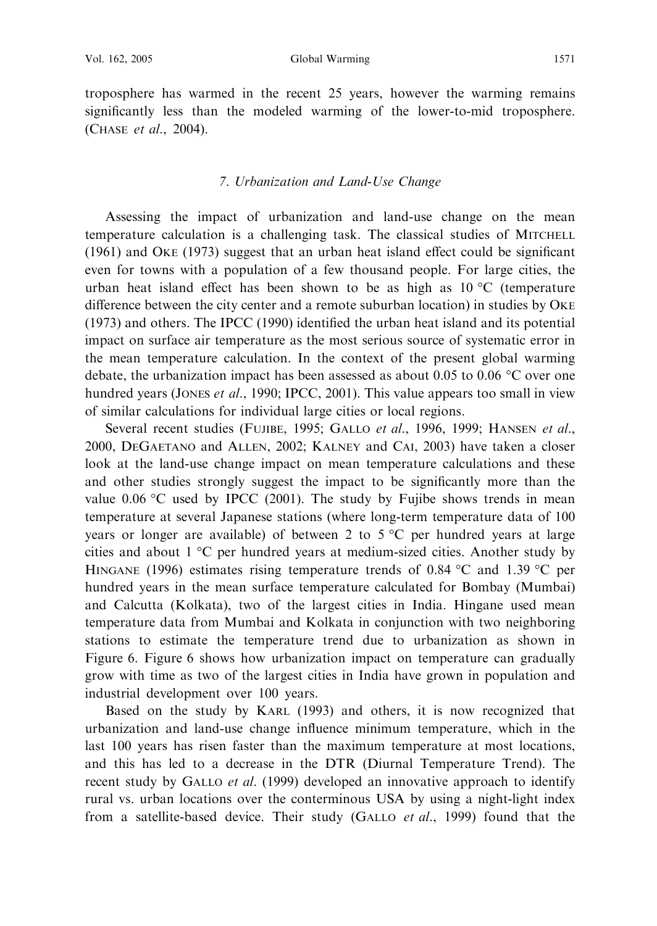troposphere has warmed in the recent 25 years, however the warming remains significantly less than the modeled warming of the lower-to-mid troposphere. (CHASE et al., 2004).

#### 7. Urbanization and Land-Use Change

Assessing the impact of urbanization and land-use change on the mean temperature calculation is a challenging task. The classical studies of MITCHELL (1961) and OKE (1973) suggest that an urban heat island effect could be significant even for towns with a population of a few thousand people. For large cities, the urban heat island effect has been shown to be as high as  $10 \degree C$  (temperature difference between the city center and a remote suburban location) in studies by OKE (1973) and others. The IPCC (1990) identified the urban heat island and its potential impact on surface air temperature as the most serious source of systematic error in the mean temperature calculation. In the context of the present global warming debate, the urbanization impact has been assessed as about 0.05 to 0.06  $^{\circ}$ C over one hundred years (JONES *et al.*, 1990; IPCC, 2001). This value appears too small in view of similar calculations for individual large cities or local regions.

Several recent studies (FUJIBE, 1995; GALLO et al., 1996, 1999; HANSEN et al., 2000, DEGAETANO and ALLEN, 2002; KALNEY and CAI, 2003) have taken a closer look at the land-use change impact on mean temperature calculations and these and other studies strongly suggest the impact to be significantly more than the value 0.06  $\degree$ C used by IPCC (2001). The study by Fujibe shows trends in mean temperature at several Japanese stations (where long-term temperature data of 100 years or longer are available) of between 2 to  $5^{\circ}$ C per hundred years at large cities and about  $1 \,^{\circ}\text{C}$  per hundred years at medium-sized cities. Another study by HINGANE (1996) estimates rising temperature trends of 0.84  $\degree$ C and 1.39  $\degree$ C per hundred years in the mean surface temperature calculated for Bombay (Mumbai) and Calcutta (Kolkata), two of the largest cities in India. Hingane used mean temperature data from Mumbai and Kolkata in conjunction with two neighboring stations to estimate the temperature trend due to urbanization as shown in Figure 6. Figure 6 shows how urbanization impact on temperature can gradually grow with time as two of the largest cities in India have grown in population and industrial development over 100 years.

Based on the study by KARL (1993) and others, it is now recognized that urbanization and land-use change influence minimum temperature, which in the last 100 years has risen faster than the maximum temperature at most locations, and this has led to a decrease in the DTR (Diurnal Temperature Trend). The recent study by GALLO *et al.* (1999) developed an innovative approach to identify rural vs. urban locations over the conterminous USA by using a night-light index from a satellite-based device. Their study (GALLO *et al.*, 1999) found that the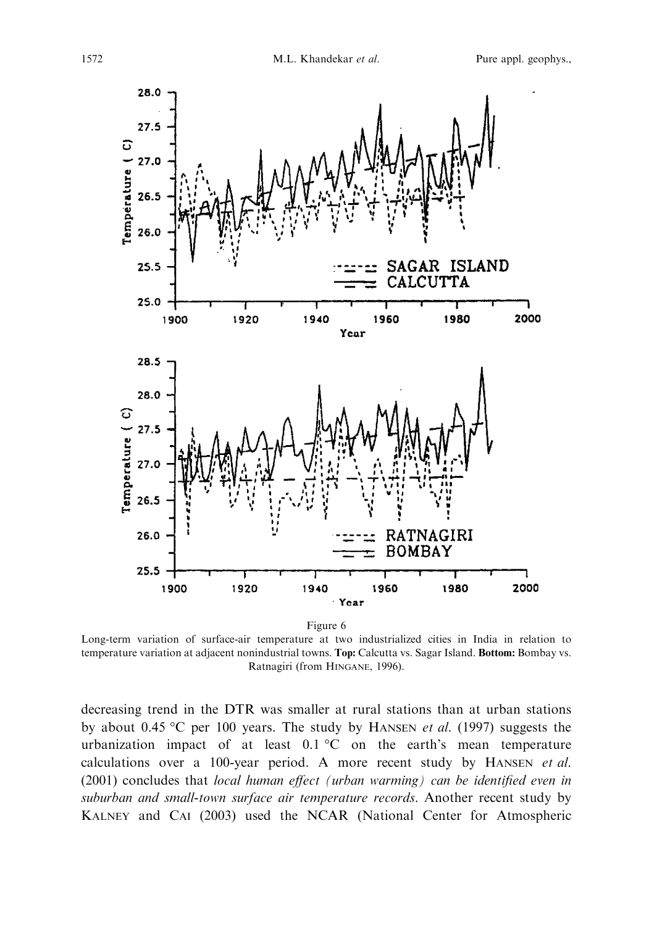

Long-term variation of surface-air temperature at two industrialized cities in India in relation to temperature variation at adjacent nonindustrial towns. Top: Calcutta vs. Sagar Island. Bottom: Bombay vs. Ratnagiri (from HINGANE, 1996).

decreasing trend in the DTR was smaller at rural stations than at urban stations by about 0.45 °C per 100 years. The study by HANSEN *et al.* (1997) suggests the urbanization impact of at least  $0.1 \text{ }^{\circ}\text{C}$  on the earth's mean temperature calculations over a 100-year period. A more recent study by HANSEN et al. (2001) concludes that local human effect (urban warming) can be identified even in suburban and small-town surface air temperature records. Another recent study by KALNEY and CAI (2003) used the NCAR (National Center for Atmospheric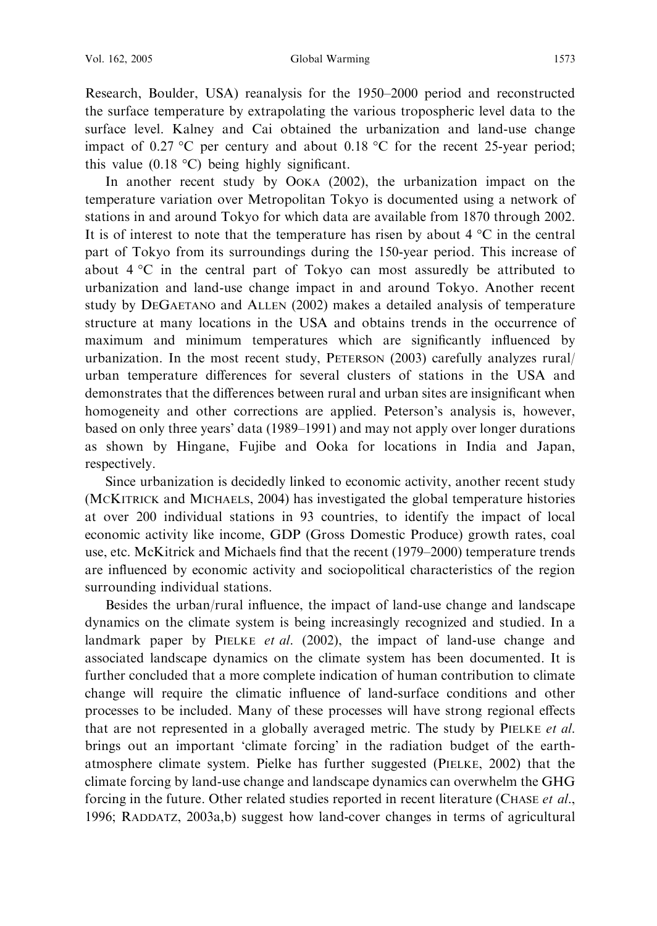Research, Boulder, USA) reanalysis for the 1950–2000 period and reconstructed the surface temperature by extrapolating the various tropospheric level data to the surface level. Kalney and Cai obtained the urbanization and land-use change impact of 0.27 °C per century and about 0.18 °C for the recent 25-year period; this value  $(0.18 \text{ °C})$  being highly significant.

In another recent study by OOKA (2002), the urbanization impact on the temperature variation over Metropolitan Tokyo is documented using a network of stations in and around Tokyo for which data are available from 1870 through 2002. It is of interest to note that the temperature has risen by about  $4 \text{ }^{\circ}C$  in the central part of Tokyo from its surroundings during the 150-year period. This increase of about  $4^{\circ}$ C in the central part of Tokyo can most assuredly be attributed to urbanization and land-use change impact in and around Tokyo. Another recent study by DEGAETANO and ALLEN (2002) makes a detailed analysis of temperature structure at many locations in the USA and obtains trends in the occurrence of maximum and minimum temperatures which are significantly influenced by urbanization. In the most recent study, PETERSON (2003) carefully analyzes rural/ urban temperature differences for several clusters of stations in the USA and demonstrates that the differences between rural and urban sites are insignificant when homogeneity and other corrections are applied. Peterson's analysis is, however, based on only three years' data (1989–1991) and may not apply over longer durations as shown by Hingane, Fujibe and Ooka for locations in India and Japan, respectively.

Since urbanization is decidedly linked to economic activity, another recent study (MCKITRICK and MICHAELS, 2004) has investigated the global temperature histories at over 200 individual stations in 93 countries, to identify the impact of local economic activity like income, GDP (Gross Domestic Produce) growth rates, coal use, etc. McKitrick and Michaels find that the recent (1979–2000) temperature trends are influenced by economic activity and sociopolitical characteristics of the region surrounding individual stations.

Besides the urban/rural influence, the impact of land-use change and landscape dynamics on the climate system is being increasingly recognized and studied. In a landmark paper by PIELKE *et al.* (2002), the impact of land-use change and associated landscape dynamics on the climate system has been documented. It is further concluded that a more complete indication of human contribution to climate change will require the climatic influence of land-surface conditions and other processes to be included. Many of these processes will have strong regional effects that are not represented in a globally averaged metric. The study by PIELKE et al. brings out an important 'climate forcing' in the radiation budget of the earthatmosphere climate system. Pielke has further suggested (PIELKE, 2002) that the climate forcing by land-use change and landscape dynamics can overwhelm the GHG forcing in the future. Other related studies reported in recent literature (CHASE et al., 1996; RADDATZ, 2003a,b) suggest how land-cover changes in terms of agricultural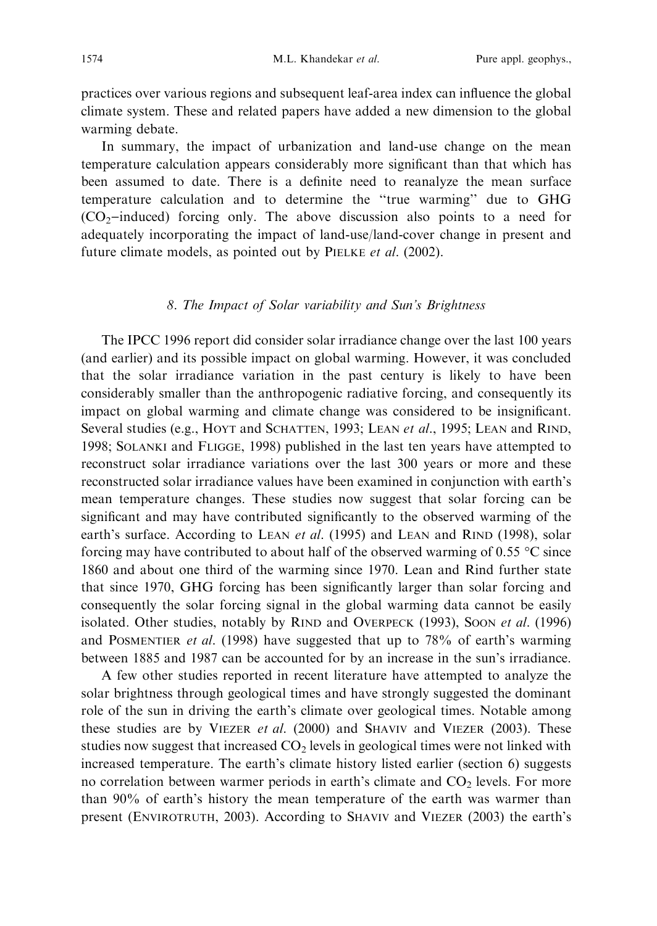practices over various regions and subsequent leaf-area index can influence the global climate system. These and related papers have added a new dimension to the global warming debate.

In summary, the impact of urbanization and land-use change on the mean temperature calculation appears considerably more significant than that which has been assumed to date. There is a definite need to reanalyze the mean surface temperature calculation and to determine the ''true warming'' due to GHG  $(CO<sub>2</sub>-induced)$  forcing only. The above discussion also points to a need for adequately incorporating the impact of land-use/land-cover change in present and future climate models, as pointed out by PIELKE et al. (2002).

#### 8. The Impact of Solar variability and Sun's Brightness

The IPCC 1996 report did consider solar irradiance change over the last 100 years (and earlier) and its possible impact on global warming. However, it was concluded that the solar irradiance variation in the past century is likely to have been considerably smaller than the anthropogenic radiative forcing, and consequently its impact on global warming and climate change was considered to be insignificant. Several studies (e.g., HOYT and SCHATTEN, 1993; LEAN et al., 1995; LEAN and RIND, 1998; SOLANKI and FLIGGE, 1998) published in the last ten years have attempted to reconstruct solar irradiance variations over the last 300 years or more and these reconstructed solar irradiance values have been examined in conjunction with earth's mean temperature changes. These studies now suggest that solar forcing can be significant and may have contributed significantly to the observed warming of the earth's surface. According to LEAN *et al.* (1995) and LEAN and RIND (1998), solar forcing may have contributed to about half of the observed warming of 0.55  $\degree$ C since 1860 and about one third of the warming since 1970. Lean and Rind further state that since 1970, GHG forcing has been significantly larger than solar forcing and consequently the solar forcing signal in the global warming data cannot be easily isolated. Other studies, notably by RIND and OVERPECK (1993), SOON et al. (1996) and POSMENTIER *et al.* (1998) have suggested that up to  $78\%$  of earth's warming between 1885 and 1987 can be accounted for by an increase in the sun's irradiance.

A few other studies reported in recent literature have attempted to analyze the solar brightness through geological times and have strongly suggested the dominant role of the sun in driving the earth's climate over geological times. Notable among these studies are by VIEZER et al. (2000) and SHAVIV and VIEZER (2003). These studies now suggest that increased  $CO<sub>2</sub>$  levels in geological times were not linked with increased temperature. The earth's climate history listed earlier (section 6) suggests no correlation between warmer periods in earth's climate and  $CO<sub>2</sub>$  levels. For more than 90% of earth's history the mean temperature of the earth was warmer than present (ENVIROTRUTH, 2003). According to SHAVIV and VIEZER (2003) the earth's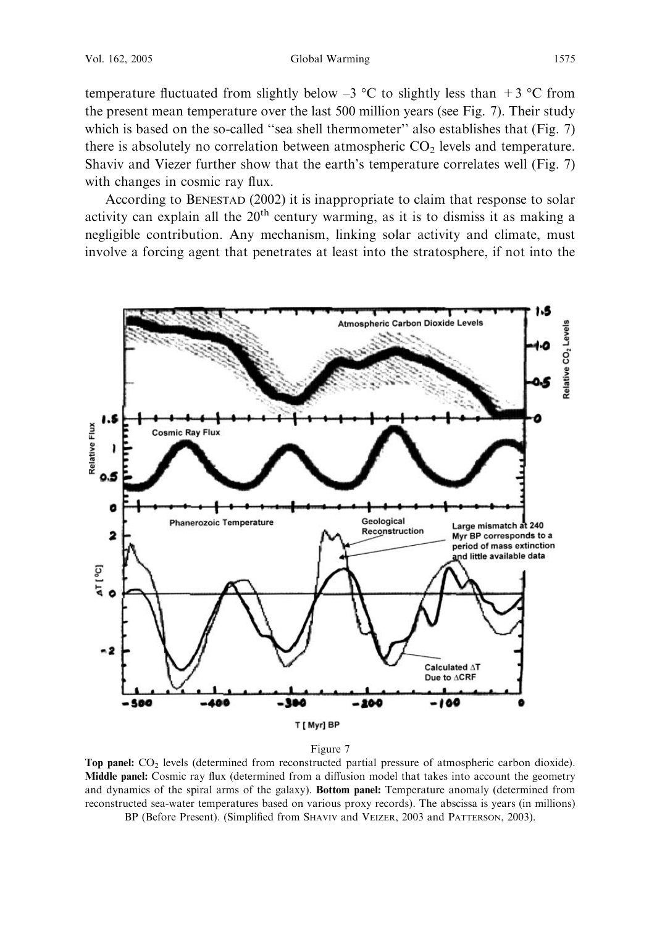temperature fluctuated from slightly below  $-3$  °C to slightly less than  $+3$  °C from the present mean temperature over the last 500 million years (see Fig. 7). Their study which is based on the so-called "sea shell thermometer" also establishes that (Fig. 7) there is absolutely no correlation between atmospheric  $CO<sub>2</sub>$  levels and temperature. Shaviv and Viezer further show that the earth's temperature correlates well (Fig. 7) with changes in cosmic ray flux.

According to BENESTAD (2002) it is inappropriate to claim that response to solar activity can explain all the  $20<sup>th</sup>$  century warming, as it is to dismiss it as making a negligible contribution. Any mechanism, linking solar activity and climate, must involve a forcing agent that penetrates at least into the stratosphere, if not into the



Figure 7

Top panel: CO<sub>2</sub> levels (determined from reconstructed partial pressure of atmospheric carbon dioxide). Middle panel: Cosmic ray flux (determined from a diffusion model that takes into account the geometry and dynamics of the spiral arms of the galaxy). Bottom panel: Temperature anomaly (determined from reconstructed sea-water temperatures based on various proxy records). The abscissa is years (in millions) BP (Before Present). (Simplified from SHAVIV and VEIZER, 2003 and PATTERSON, 2003).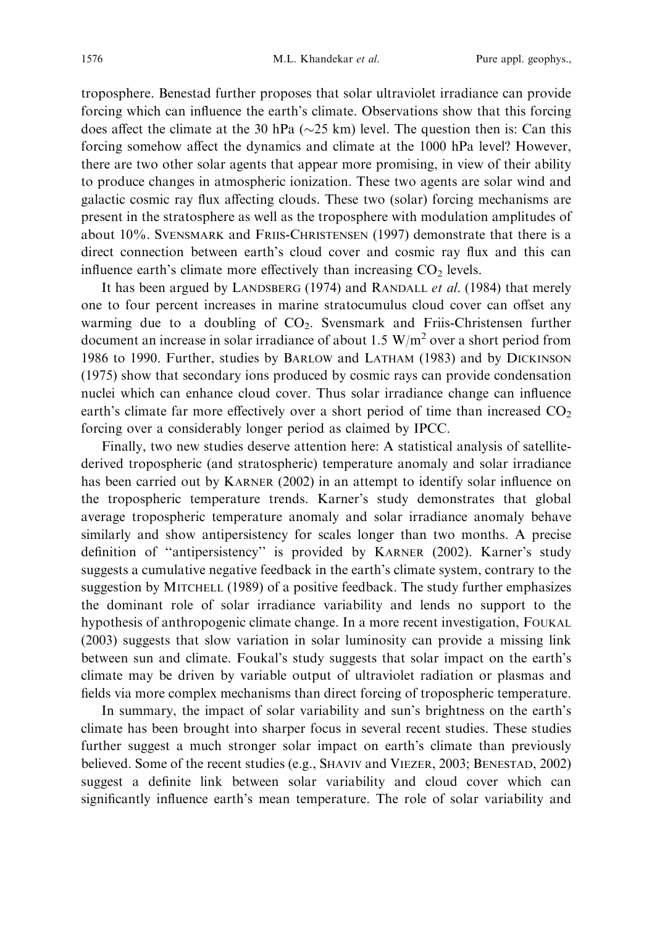troposphere. Benestad further proposes that solar ultraviolet irradiance can provide forcing which can influence the earth's climate. Observations show that this forcing does affect the climate at the 30 hPa ( $\sim$ 25 km) level. The question then is: Can this forcing somehow affect the dynamics and climate at the 1000 hPa level? However, there are two other solar agents that appear more promising, in view of their ability to produce changes in atmospheric ionization. These two agents are solar wind and galactic cosmic ray flux affecting clouds. These two (solar) forcing mechanisms are present in the stratosphere as well as the troposphere with modulation amplitudes of about 10%. SVENSMARK and FRIIS-CHRISTENSEN (1997) demonstrate that there is a direct connection between earth's cloud cover and cosmic ray flux and this can influence earth's climate more effectively than increasing  $CO<sub>2</sub>$  levels.

It has been argued by LANDSBERG (1974) and RANDALL *et al.* (1984) that merely one to four percent increases in marine stratocumulus cloud cover can offset any warming due to a doubling of CO<sub>2</sub>. Svensmark and Friis-Christensen further document an increase in solar irradiance of about 1.5  $W/m<sup>2</sup>$  over a short period from 1986 to 1990. Further, studies by BARLOW and LATHAM (1983) and by DICKINSON (1975) show that secondary ions produced by cosmic rays can provide condensation nuclei which can enhance cloud cover. Thus solar irradiance change can influence earth's climate far more effectively over a short period of time than increased  $CO<sub>2</sub>$ forcing over a considerably longer period as claimed by IPCC.

Finally, two new studies deserve attention here: A statistical analysis of satellitederived tropospheric (and stratospheric) temperature anomaly and solar irradiance has been carried out by KARNER (2002) in an attempt to identify solar influence on the tropospheric temperature trends. Karner's study demonstrates that global average tropospheric temperature anomaly and solar irradiance anomaly behave similarly and show antipersistency for scales longer than two months. A precise definition of ''antipersistency'' is provided by KARNER (2002). Karner's study suggests a cumulative negative feedback in the earth's climate system, contrary to the suggestion by MITCHELL (1989) of a positive feedback. The study further emphasizes the dominant role of solar irradiance variability and lends no support to the hypothesis of anthropogenic climate change. In a more recent investigation, FOUKAL (2003) suggests that slow variation in solar luminosity can provide a missing link between sun and climate. Foukal's study suggests that solar impact on the earth's climate may be driven by variable output of ultraviolet radiation or plasmas and fields via more complex mechanisms than direct forcing of tropospheric temperature.

In summary, the impact of solar variability and sun's brightness on the earth's climate has been brought into sharper focus in several recent studies. These studies further suggest a much stronger solar impact on earth's climate than previously believed. Some of the recent studies (e.g., SHAVIV and VIEZER, 2003; BENESTAD, 2002) suggest a definite link between solar variability and cloud cover which can significantly influence earth's mean temperature. The role of solar variability and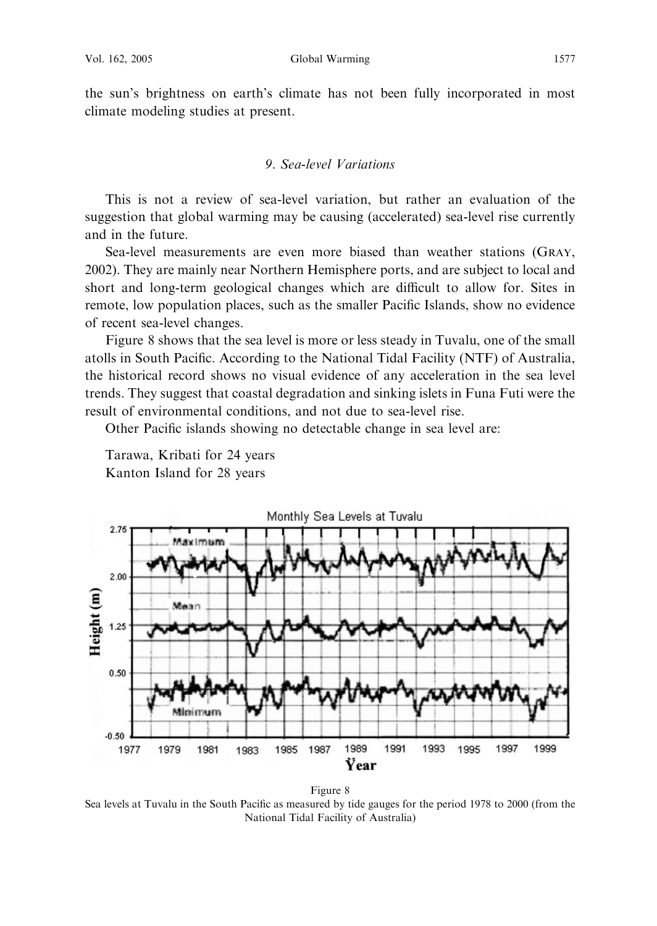the sun's brightness on earth's climate has not been fully incorporated in most climate modeling studies at present.

# 9. Sea-level Variations

This is not a review of sea-level variation, but rather an evaluation of the suggestion that global warming may be causing (accelerated) sea-level rise currently and in the future.

Sea-level measurements are even more biased than weather stations (GRAY, 2002). They are mainly near Northern Hemisphere ports, and are subject to local and short and long-term geological changes which are difficult to allow for. Sites in remote, low population places, such as the smaller Pacific Islands, show no evidence of recent sea-level changes.

Figure 8 shows that the sea level is more or less steady in Tuvalu, one of the small atolls in South Pacific. According to the National Tidal Facility (NTF) of Australia, the historical record shows no visual evidence of any acceleration in the sea level trends. They suggest that coastal degradation and sinking islets in Funa Futi were the result of environmental conditions, and not due to sea-level rise.

Other Pacific islands showing no detectable change in sea level are:



Tarawa, Kribati for 24 years Kanton Island for 28 years

Figure 8 Sea levels at Tuvalu in the South Pacific as measured by tide gauges for the period 1978 to 2000 (from the National Tidal Facility of Australia)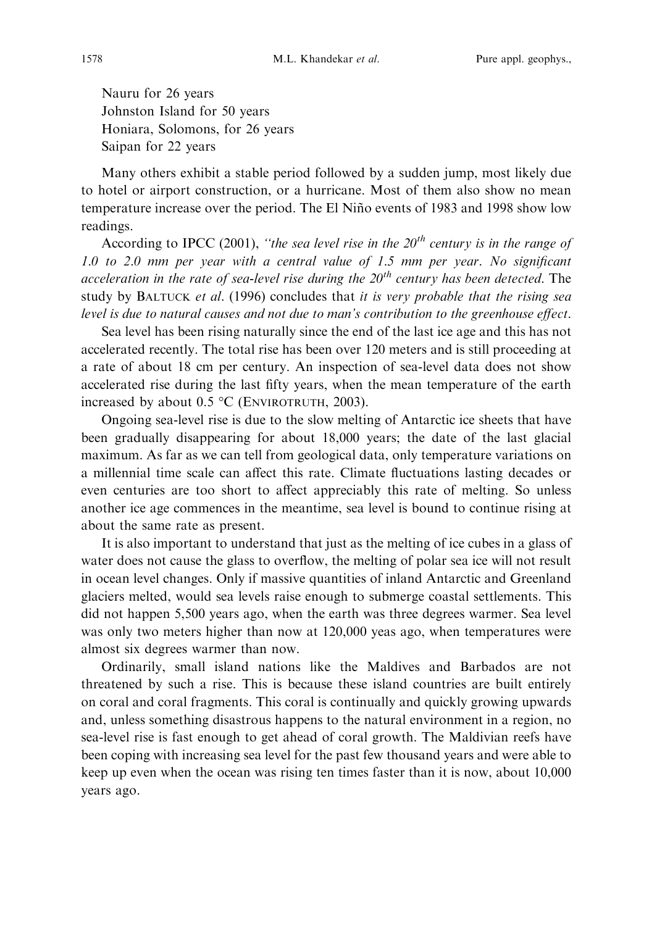Nauru for 26 years Johnston Island for 50 years Honiara, Solomons, for 26 years Saipan for 22 years

Many others exhibit a stable period followed by a sudden jump, most likely due to hotel or airport construction, or a hurricane. Most of them also show no mean temperature increase over the period. The El Nin˜o events of 1983 and 1998 show low readings.

According to IPCC (2001), "the sea level rise in the  $20<sup>th</sup>$  century is in the range of 1.0 to 2.0 mm per year with a central value of 1.5 mm per year. No significant acceleration in the rate of sea-level rise during the  $20<sup>th</sup>$  century has been detected. The study by BALTUCK et al. (1996) concludes that it is very probable that the rising sea level is due to natural causes and not due to man's contribution to the greenhouse effect.

Sea level has been rising naturally since the end of the last ice age and this has not accelerated recently. The total rise has been over 120 meters and is still proceeding at a rate of about 18 cm per century. An inspection of sea-level data does not show accelerated rise during the last fifty years, when the mean temperature of the earth increased by about  $0.5 \text{ °C}$  (ENVIROTRUTH, 2003).

Ongoing sea-level rise is due to the slow melting of Antarctic ice sheets that have been gradually disappearing for about 18,000 years; the date of the last glacial maximum. As far as we can tell from geological data, only temperature variations on a millennial time scale can affect this rate. Climate fluctuations lasting decades or even centuries are too short to affect appreciably this rate of melting. So unless another ice age commences in the meantime, sea level is bound to continue rising at about the same rate as present.

It is also important to understand that just as the melting of ice cubes in a glass of water does not cause the glass to overflow, the melting of polar sea ice will not result in ocean level changes. Only if massive quantities of inland Antarctic and Greenland glaciers melted, would sea levels raise enough to submerge coastal settlements. This did not happen 5,500 years ago, when the earth was three degrees warmer. Sea level was only two meters higher than now at 120,000 yeas ago, when temperatures were almost six degrees warmer than now.

Ordinarily, small island nations like the Maldives and Barbados are not threatened by such a rise. This is because these island countries are built entirely on coral and coral fragments. This coral is continually and quickly growing upwards and, unless something disastrous happens to the natural environment in a region, no sea-level rise is fast enough to get ahead of coral growth. The Maldivian reefs have been coping with increasing sea level for the past few thousand years and were able to keep up even when the ocean was rising ten times faster than it is now, about 10,000 years ago.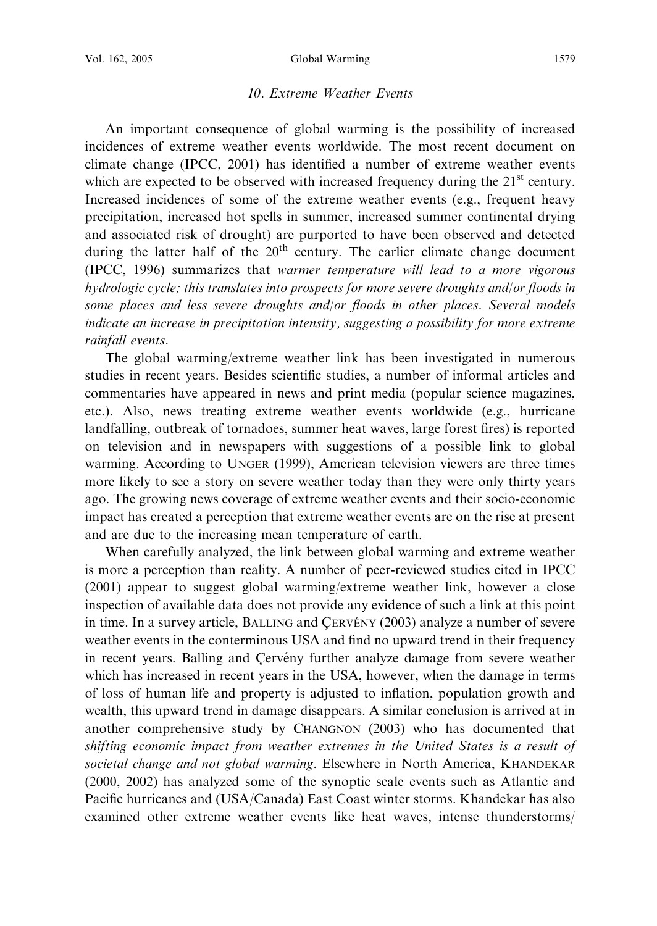#### 10. Extreme Weather Events

An important consequence of global warming is the possibility of increased incidences of extreme weather events worldwide. The most recent document on climate change (IPCC, 2001) has identified a number of extreme weather events which are expected to be observed with increased frequency during the  $21<sup>st</sup>$  century. Increased incidences of some of the extreme weather events (e.g., frequent heavy precipitation, increased hot spells in summer, increased summer continental drying and associated risk of drought) are purported to have been observed and detected during the latter half of the  $20<sup>th</sup>$  century. The earlier climate change document (IPCC, 1996) summarizes that warmer temperature will lead to a more vigorous hydrologic cycle; this translates into prospects for more severe droughts and/or floods in some places and less severe droughts and/or floods in other places. Several models indicate an increase in precipitation intensity, suggesting a possibility for more extreme rainfall events.

The global warming/extreme weather link has been investigated in numerous studies in recent years. Besides scientific studies, a number of informal articles and commentaries have appeared in news and print media (popular science magazines, etc.). Also, news treating extreme weather events worldwide (e.g., hurricane landfalling, outbreak of tornadoes, summer heat waves, large forest fires) is reported on television and in newspapers with suggestions of a possible link to global warming. According to UNGER (1999), American television viewers are three times more likely to see a story on severe weather today than they were only thirty years ago. The growing news coverage of extreme weather events and their socio-economic impact has created a perception that extreme weather events are on the rise at present and are due to the increasing mean temperature of earth.

When carefully analyzed, the link between global warming and extreme weather is more a perception than reality. A number of peer-reviewed studies cited in IPCC (2001) appear to suggest global warming/extreme weather link, however a close inspection of available data does not provide any evidence of such a link at this point in time. In a survey article, BALLING and CERVENY (2003) analyze a number of severe weather events in the conterminous USA and find no upward trend in their frequency in recent years. Balling and Cerveny further analyze damage from severe weather which has increased in recent years in the USA, however, when the damage in terms of loss of human life and property is adjusted to inflation, population growth and wealth, this upward trend in damage disappears. A similar conclusion is arrived at in another comprehensive study by CHANGNON (2003) who has documented that shifting economic impact from weather extremes in the United States is a result of societal change and not global warming. Elsewhere in North America, KHANDEKAR (2000, 2002) has analyzed some of the synoptic scale events such as Atlantic and Pacific hurricanes and (USA/Canada) East Coast winter storms. Khandekar has also examined other extreme weather events like heat waves, intense thunderstorms/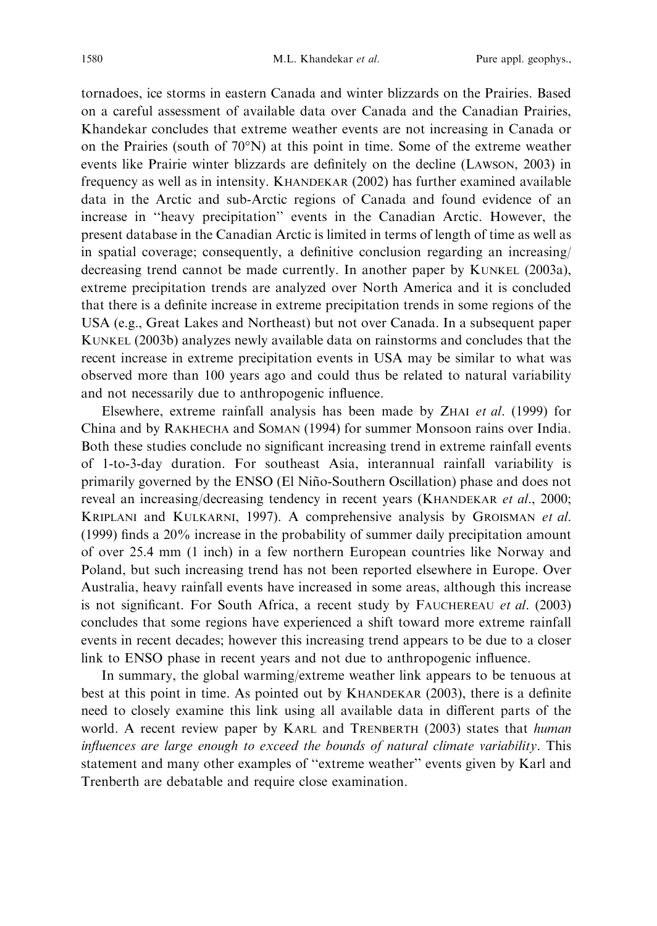tornadoes, ice storms in eastern Canada and winter blizzards on the Prairies. Based on a careful assessment of available data over Canada and the Canadian Prairies, Khandekar concludes that extreme weather events are not increasing in Canada or on the Prairies (south of  $70^{\circ}$ N) at this point in time. Some of the extreme weather events like Prairie winter blizzards are definitely on the decline (LAWSON, 2003) in frequency as well as in intensity. KHANDEKAR (2002) has further examined available data in the Arctic and sub-Arctic regions of Canada and found evidence of an increase in ''heavy precipitation'' events in the Canadian Arctic. However, the present database in the Canadian Arctic is limited in terms of length of time as well as in spatial coverage; consequently, a definitive conclusion regarding an increasing/ decreasing trend cannot be made currently. In another paper by KUNKEL (2003a), extreme precipitation trends are analyzed over North America and it is concluded that there is a definite increase in extreme precipitation trends in some regions of the USA (e.g., Great Lakes and Northeast) but not over Canada. In a subsequent paper KUNKEL (2003b) analyzes newly available data on rainstorms and concludes that the recent increase in extreme precipitation events in USA may be similar to what was observed more than 100 years ago and could thus be related to natural variability and not necessarily due to anthropogenic influence.

Elsewhere, extreme rainfall analysis has been made by ZHAI et al. (1999) for China and by RAKHECHA and SOMAN (1994) for summer Monsoon rains over India. Both these studies conclude no significant increasing trend in extreme rainfall events of 1-to-3-day duration. For southeast Asia, interannual rainfall variability is primarily governed by the ENSO (El Nin˜o-Southern Oscillation) phase and does not reveal an increasing/decreasing tendency in recent years (KHANDEKAR et al., 2000; KRIPLANI and KULKARNI, 1997). A comprehensive analysis by GROISMAN et al. (1999) finds a 20% increase in the probability of summer daily precipitation amount of over 25.4 mm (1 inch) in a few northern European countries like Norway and Poland, but such increasing trend has not been reported elsewhere in Europe. Over Australia, heavy rainfall events have increased in some areas, although this increase is not significant. For South Africa, a recent study by FAUCHEREAU et al. (2003) concludes that some regions have experienced a shift toward more extreme rainfall events in recent decades; however this increasing trend appears to be due to a closer link to ENSO phase in recent years and not due to anthropogenic influence.

In summary, the global warming/extreme weather link appears to be tenuous at best at this point in time. As pointed out by KHANDEKAR (2003), there is a definite need to closely examine this link using all available data in different parts of the world. A recent review paper by KARL and TRENBERTH (2003) states that *human* influences are large enough to exceed the bounds of natural climate variability. This statement and many other examples of ''extreme weather'' events given by Karl and Trenberth are debatable and require close examination.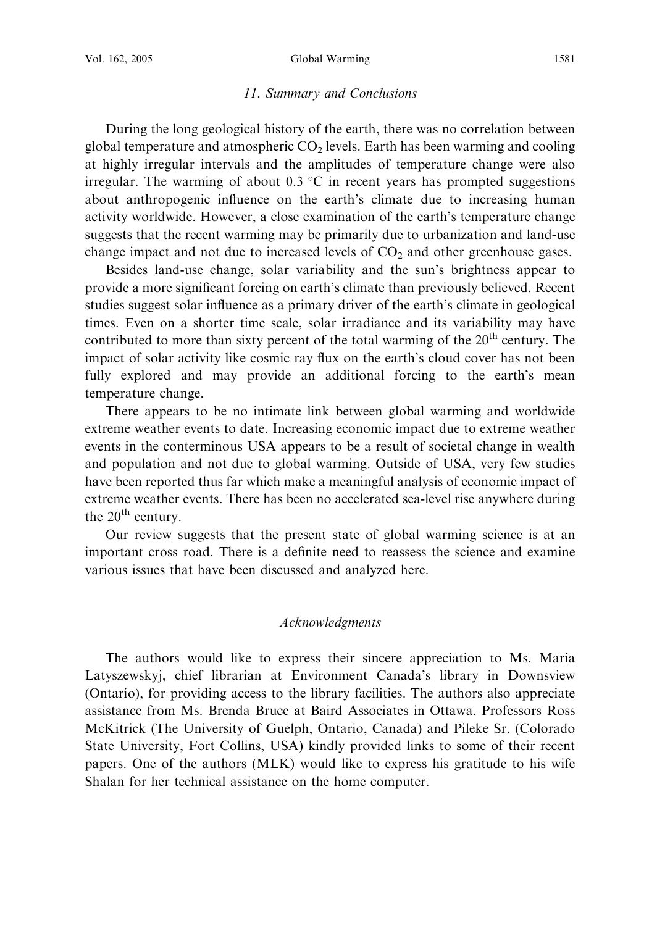#### 11. Summary and Conclusions

During the long geological history of the earth, there was no correlation between global temperature and atmospheric  $CO<sub>2</sub>$  levels. Earth has been warming and cooling at highly irregular intervals and the amplitudes of temperature change were also irregular. The warming of about 0.3  $^{\circ}$ C in recent years has prompted suggestions about anthropogenic influence on the earth's climate due to increasing human activity worldwide. However, a close examination of the earth's temperature change suggests that the recent warming may be primarily due to urbanization and land-use change impact and not due to increased levels of  $CO<sub>2</sub>$  and other greenhouse gases.

Besides land-use change, solar variability and the sun's brightness appear to provide a more significant forcing on earth's climate than previously believed. Recent studies suggest solar influence as a primary driver of the earth's climate in geological times. Even on a shorter time scale, solar irradiance and its variability may have contributed to more than sixty percent of the total warming of the 20<sup>th</sup> century. The impact of solar activity like cosmic ray flux on the earth's cloud cover has not been fully explored and may provide an additional forcing to the earth's mean temperature change.

There appears to be no intimate link between global warming and worldwide extreme weather events to date. Increasing economic impact due to extreme weather events in the conterminous USA appears to be a result of societal change in wealth and population and not due to global warming. Outside of USA, very few studies have been reported thus far which make a meaningful analysis of economic impact of extreme weather events. There has been no accelerated sea-level rise anywhere during the  $20<sup>th</sup>$  century.

Our review suggests that the present state of global warming science is at an important cross road. There is a definite need to reassess the science and examine various issues that have been discussed and analyzed here.

### Acknowledgments

The authors would like to express their sincere appreciation to Ms. Maria Latyszewskyj, chief librarian at Environment Canada's library in Downsview (Ontario), for providing access to the library facilities. The authors also appreciate assistance from Ms. Brenda Bruce at Baird Associates in Ottawa. Professors Ross McKitrick (The University of Guelph, Ontario, Canada) and Pileke Sr. (Colorado State University, Fort Collins, USA) kindly provided links to some of their recent papers. One of the authors (MLK) would like to express his gratitude to his wife Shalan for her technical assistance on the home computer.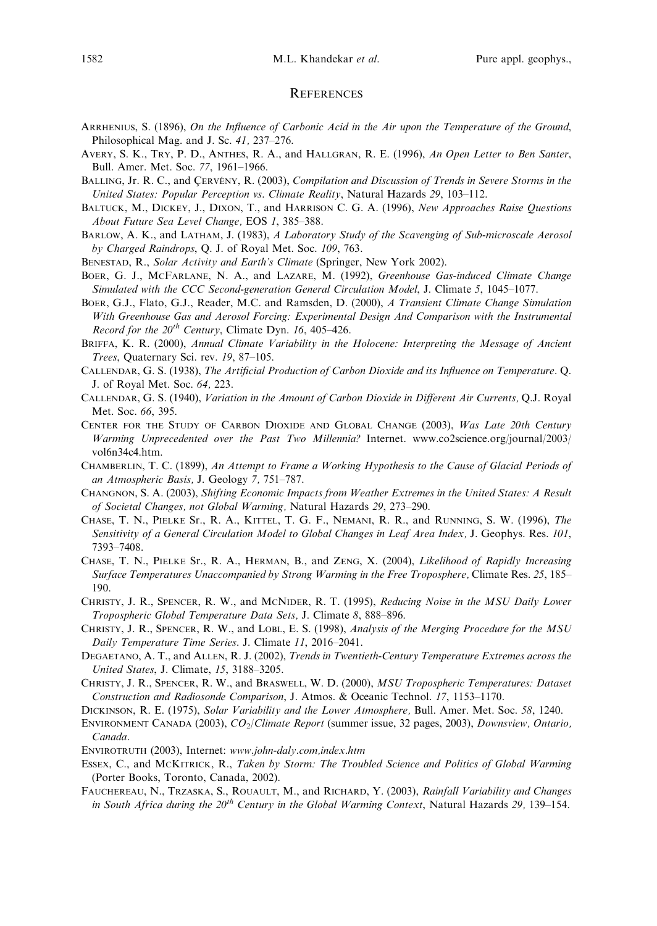#### **REFERENCES**

- ARRHENIUS, S. (1896), On the Influence of Carbonic Acid in the Air upon the Temperature of the Ground, Philosophical Mag. and J. Sc. 41, 237–276.
- AVERY, S. K., TRY, P. D., ANTHES, R. A., and HALLGRAN, R. E. (1996), An Open Letter to Ben Santer, Bull. Amer. Met. Soc. 77, 1961–1966.
- BALLING, Jr. R. C., and CERVENY, R. (2003), Compilation and Discussion of Trends in Severe Storms in the United States: Popular Perception vs. Climate Reality, Natural Hazards 29, 103–112.
- BALTUCK, M., DICKEY, J., DIXON, T., and HARRISON C. G. A. (1996), New Approaches Raise Questions About Future Sea Level Change, EOS 1, 385–388.
- BARLOW, A. K., and LATHAM, J. (1983), A Laboratory Study of the Scavenging of Sub-microscale Aerosol by Charged Raindrops, Q. J. of Royal Met. Soc. 109, 763.
- BENESTAD, R., Solar Activity and Earth's Climate (Springer, New York 2002).
- BOER, G. J., MCFARLANE, N. A., and LAZARE, M. (1992), Greenhouse Gas-induced Climate Change Simulated with the CCC Second-generation General Circulation Model, J. Climate 5, 1045–1077.
- BOER, G.J., Flato, G.J., Reader, M.C. and Ramsden, D. (2000), A Transient Climate Change Simulation With Greenhouse Gas and Aerosol Forcing: Experimental Design And Comparison with the Instrumental Record for the  $20^{th}$  Century, Climate Dyn. 16, 405–426.
- BRIFFA, K. R. (2000), Annual Climate Variability in the Holocene: Interpreting the Message of Ancient Trees, Quaternary Sci. rev. 19, 87–105.
- CALLENDAR, G. S. (1938), The Artificial Production of Carbon Dioxide and its Influence on Temperature. Q. J. of Royal Met. Soc. 64, 223.
- CALLENDAR, G. S. (1940), Variation in the Amount of Carbon Dioxide in Different Air Currents, Q.J. Royal Met. Soc. 66, 395.
- CENTER FOR THE STUDY OF CARBON DIOXIDE AND GLOBAL CHANGE (2003), Was Late 20th Century Warming Unprecedented over the Past Two Millennia? Internet. www.co2science.org/journal/2003/ vol6n34c4.htm.
- CHAMBERLIN, T. C. (1899), An Attempt to Frame a Working Hypothesis to the Cause of Glacial Periods of an Atmospheric Basis, J. Geology 7, 751–787.
- CHANGNON, S. A. (2003), Shifting Economic Impacts from Weather Extremes in the United States: A Result of Societal Changes, not Global Warming, Natural Hazards 29, 273–290.
- CHASE, T. N., PIELKE Sr., R. A., KITTEL, T. G. F., NEMANI, R. R., and RUNNING, S. W. (1996), The Sensitivity of a General Circulation Model to Global Changes in Leaf Area Index, J. Geophys. Res. 101, 7393–7408.
- CHASE, T. N., PIELKE Sr., R. A., HERMAN, B., and ZENG, X. (2004), Likelihood of Rapidly Increasing Surface Temperatures Unaccompanied by Strong Warming in the Free Troposphere, Climate Res. 25, 185– 190.
- CHRISTY, J. R., SPENCER, R. W., and MCNIDER, R. T. (1995), Reducing Noise in the MSU Daily Lower Tropospheric Global Temperature Data Sets, J. Climate 8, 888–896.
- CHRISTY, J. R., SPENCER, R. W., and LOBL, E. S. (1998), Analysis of the Merging Procedure for the MSU Daily Temperature Time Series. J. Climate 11, 2016–2041.
- DEGAETANO, A. T., and ALLEN, R. J. (2002), Trends in Twentieth-Century Temperature Extremes across the United States, J. Climate, 15, 3188–3205.
- CHRISTY, J. R., SPENCER, R. W., and BRASWELL, W. D. (2000), MSU Tropospheric Temperatures: Dataset Construction and Radiosonde Comparison, J. Atmos. & Oceanic Technol. 17, 1153–1170.
- DICKINSON, R. E. (1975), Solar Variability and the Lower Atmosphere, Bull. Amer. Met. Soc. 58, 1240.
- ENVIRONMENT CANADA (2003), CO2/Climate Report (summer issue, 32 pages, 2003), Downsview, Ontario, Canada.
- ENVIROTRUTH (2003), Internet: www.john-daly.com,index.htm
- ESSEX, C., and MCKITRICK, R., Taken by Storm: The Troubled Science and Politics of Global Warming (Porter Books, Toronto, Canada, 2002).
- FAUCHEREAU, N., TRZASKA, S., ROUAULT, M., and RICHARD, Y. (2003), Rainfall Variability and Changes in South Africa during the  $20<sup>th</sup>$  Century in the Global Warming Context, Natural Hazards 29, 139–154.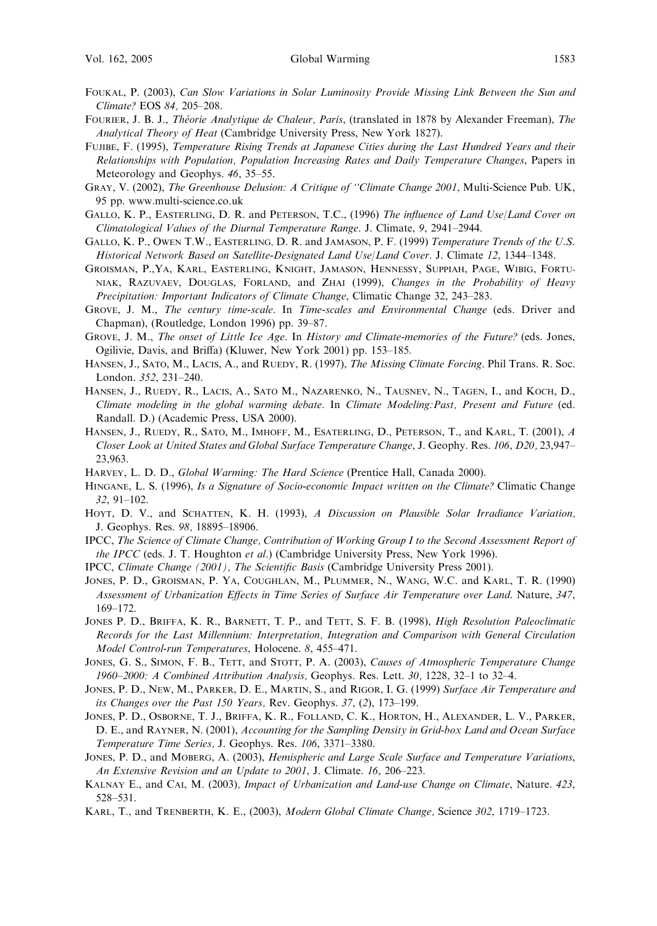- FOUKAL, P. (2003), Can Slow Variations in Solar Luminosity Provide Missing Link Between the Sun and Climate? EOS 84, 205–208.
- FOURIER, J. B. J., Théorie Analytique de Chaleur, Paris, (translated in 1878 by Alexander Freeman), The Analytical Theory of Heat (Cambridge University Press, New York 1827).
- FUJIBE, F. (1995), Temperature Rising Trends at Japanese Cities during the Last Hundred Years and their Relationships with Population, Population Increasing Rates and Daily Temperature Changes, Papers in Meteorology and Geophys. 46, 35–55.
- GRAY, V. (2002), The Greenhouse Delusion: A Critique of ''Climate Change 2001, Multi-Science Pub. UK, 95 pp. www.multi-science.co.uk
- GALLO, K. P., EASTERLING, D. R. and PETERSON, T.C., (1996) The influence of Land Use/Land Cover on Climatological Values of the Diurnal Temperature Range. J. Climate, 9, 2941–2944.
- GALLO, K. P., OWEN T.W., EASTERLING, D. R. and JAMASON, P. F. (1999) Temperature Trends of the U.S. Historical Network Based on Satellite-Designated Land Use/Land Cover. J. Climate 12, 1344–1348.
- GROISMAN, P.,YA, KARL, EASTERLING, KNIGHT, JAMASON, HENNESSY, SUPPIAH, PAGE, WIBIG, FORTU-NIAK, RAZUVAEV, DOUGLAS, FORLAND, and ZHAI (1999), Changes in the Probability of Heavy Precipitation: Important Indicators of Climate Change, Climatic Change 32, 243–283.
- GROVE, J. M., The century time-scale. In Time-scales and Environmental Change (eds. Driver and Chapman), (Routledge, London 1996) pp. 39–87.
- GROVE, J. M., The onset of Little Ice Age. In History and Climate-memories of the Future? (eds. Jones, Ogilivie, Davis, and Briffa) (Kluwer, New York 2001) pp. 153–185.
- HANSEN, J., SATO, M., LACIS, A., and RUEDY, R. (1997), The Missing Climate Forcing. Phil Trans. R. Soc. London. 352, 231–240.
- HANSEN, J., RUEDY, R., LACIS, A., SATO M., NAZARENKO, N., TAUSNEV, N., TAGEN, I., and KOCH, D., Climate modeling in the global warming debate. In Climate Modeling:Past, Present and Future (ed. Randall. D.) (Academic Press, USA 2000).
- HANSEN, J., RUEDY, R., SATO, M., IMHOFF, M., ESATERLING, D., PETERSON, T., and KARL, T. (2001), A Closer Look at United States and Global Surface Temperature Change, J. Geophy. Res. 106, D20, 23,947– 23,963.
- HARVEY, L. D. D., Global Warming: The Hard Science (Prentice Hall, Canada 2000).
- HINGANE, L. S. (1996), Is a Signature of Socio-economic Impact written on the Climate? Climatic Change 32, 91–102.
- HOYT, D. V., and SCHATTEN, K. H. (1993), A Discussion on Plausible Solar Irradiance Variation, J. Geophys. Res. 98, 18895–18906.
- IPCC, The Science of Climate Change, Contribution of Working Group I to the Second Assessment Report of the IPCC (eds. J. T. Houghton et al.) (Cambridge University Press, New York 1996).
- IPCC, Climate Change (2001), The Scientific Basis (Cambridge University Press 2001).
- JONES, P. D., GROISMAN, P. YA, COUGHLAN, M., PLUMMER, N., WANG, W.C. and KARL, T. R. (1990) Assessment of Urbanization Effects in Time Series of Surface Air Temperature over Land. Nature, 347, 169–172.
- JONES P. D., BRIFFA, K. R., BARNETT, T. P., and TETT, S. F. B. (1998), *High Resolution Paleoclimatic* Records for the Last Millennium: Interpretation, Integration and Comparison with General Circulation Model Control-run Temperatures, Holocene. 8, 455–471.
- JONES, G. S., SIMON, F. B., TETT, and STOTT, P. A. (2003), Causes of Atmospheric Temperature Change 1960–2000: A Combined Attribution Analysis, Geophys. Res. Lett. 30, 1228, 32–1 to 32–4.
- JONES, P. D., NEW, M., PARKER, D. E., MARTIN, S., and RIGOR, I. G. (1999) Surface Air Temperature and its Changes over the Past 150 Years, Rev. Geophys. 37, (2), 173–199.
- JONES, P. D., OSBORNE, T. J., BRIFFA, K. R., FOLLAND, C. K., HORTON, H., ALEXANDER, L. V., PARKER, D. E., and RAYNER, N. (2001), Accounting for the Sampling Density in Grid-box Land and Ocean Surface Temperature Time Series, J. Geophys. Res. 106, 3371–3380.
- JONES, P. D., and MOBERG, A. (2003), Hemispheric and Large Scale Surface and Temperature Variations, An Extensive Revision and an Update to 2001, J. Climate. 16, 206–223.
- KALNAY E., and CAI, M. (2003), Impact of Urbanization and Land-use Change on Climate, Nature. 423, 528–531.
- KARL, T., and TRENBERTH, K. E., (2003), Modern Global Climate Change, Science 302, 1719–1723.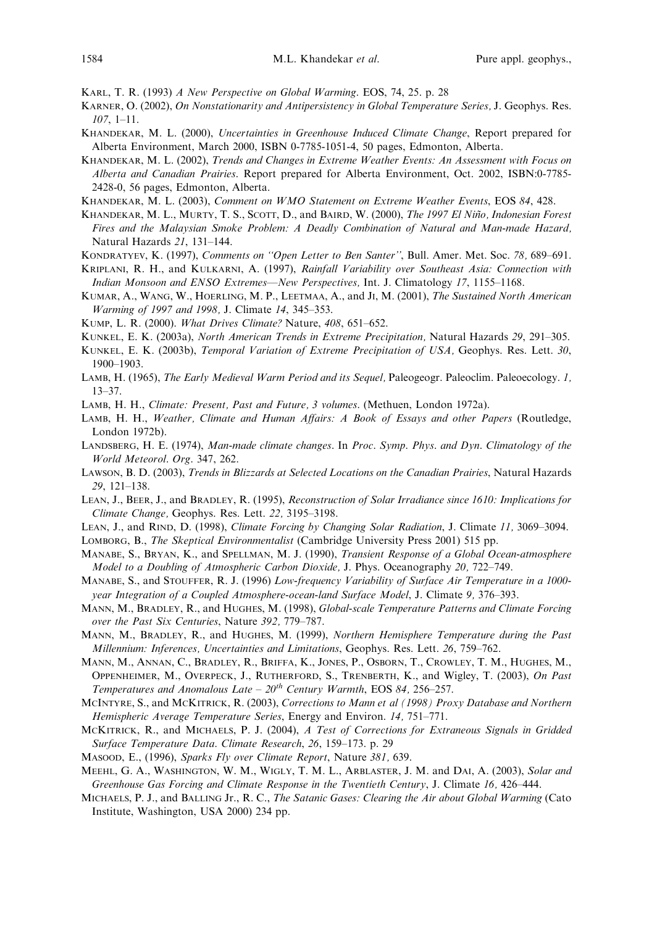KARL, T. R. (1993) A New Perspective on Global Warming. EOS, 74, 25. p. 28

- KARNER, O. (2002), On Nonstationarity and Antipersistency in Global Temperature Series, J. Geophys. Res.  $107, 1-11.$
- KHANDEKAR, M. L. (2000), Uncertainties in Greenhouse Induced Climate Change, Report prepared for Alberta Environment, March 2000, ISBN 0-7785-1051-4, 50 pages, Edmonton, Alberta.
- KHANDEKAR, M. L. (2002), Trends and Changes in Extreme Weather Events: An Assessment with Focus on Alberta and Canadian Prairies. Report prepared for Alberta Environment, Oct. 2002, ISBN:0-7785- 2428-0, 56 pages, Edmonton, Alberta.
- KHANDEKAR, M. L. (2003), Comment on WMO Statement on Extreme Weather Events, EOS 84, 428.
- KHANDEKAR, M. L., MURTY, T. S., SCOTT, D., and BAIRD, W. (2000), The 1997 El Niño, Indonesian Forest Fires and the Malaysian Smoke Problem: A Deadly Combination of Natural and Man-made Hazard, Natural Hazards 21, 131–144.
- KONDRATYEV, K. (1997), Comments on ''Open Letter to Ben Santer'', Bull. Amer. Met. Soc. 78, 689–691.
- KRIPLANI, R. H., and KULKARNI, A. (1997), Rainfall Variability over Southeast Asia: Connection with Indian Monsoon and ENSO Extremes—New Perspectives, Int. J. Climatology 17, 1155–1168.
- KUMAR, A., WANG, W., HOERLING, M. P., LEETMAA, A., and JI, M. (2001), The Sustained North American Warming of 1997 and 1998, J. Climate 14, 345–353.
- KUMP, L. R. (2000). What Drives Climate? Nature, 408, 651–652.
- KUNKEL, E. K. (2003a), North American Trends in Extreme Precipitation, Natural Hazards 29, 291–305.
- KUNKEL, E. K. (2003b), Temporal Variation of Extreme Precipitation of USA, Geophys. Res. Lett. 30, 1900–1903.
- LAMB, H. (1965), The Early Medieval Warm Period and its Sequel, Paleogeogr. Paleoclim. Paleoecology. 1, 13–37.
- LAMB, H. H., Climate: Present, Past and Future, 3 volumes. (Methuen, London 1972a).
- LAMB, H. H., Weather, Climate and Human Affairs: A Book of Essays and other Papers (Routledge, London 1972b).
- LANDSBERG, H. E. (1974), Man-made climate changes. In Proc. Symp. Phys. and Dyn. Climatology of the World Meteorol. Org. 347, 262.
- LAWSON, B. D. (2003), Trends in Blizzards at Selected Locations on the Canadian Prairies, Natural Hazards 29, 121–138.
- LEAN, J., BEER, J., and BRADLEY, R. (1995), Reconstruction of Solar Irradiance since 1610: Implications for Climate Change, Geophys. Res. Lett. 22, 3195–3198.
- LEAN, J., and RIND, D. (1998), Climate Forcing by Changing Solar Radiation, J. Climate 11, 3069–3094.
- LOMBORG, B., The Skeptical Environmentalist (Cambridge University Press 2001) 515 pp.
- MANABE, S., BRYAN, K., and SPELLMAN, M. J. (1990), Transient Response of a Global Ocean-atmosphere Model to a Doubling of Atmospheric Carbon Dioxide, J. Phys. Oceanography 20, 722–749.
- MANABE, S., and STOUFFER, R. J. (1996) Low-frequency Variability of Surface Air Temperature in a 1000year Integration of a Coupled Atmosphere-ocean-land Surface Model, J. Climate 9, 376–393.
- MANN, M., BRADLEY, R., and HUGHES, M. (1998), Global-scale Temperature Patterns and Climate Forcing over the Past Six Centuries, Nature 392, 779–787.
- MANN, M., BRADLEY, R., and HUGHES, M. (1999), Northern Hemisphere Temperature during the Past Millennium: Inferences, Uncertainties and Limitations, Geophys. Res. Lett. 26, 759–762.
- MANN, M., ANNAN, C., BRADLEY, R., BRIFFA, K., JONES, P., OSBORN, T., CROWLEY, T. M., HUGHES, M., OPPENHEIMER, M., OVERPECK, J., RUTHERFORD, S., TRENBERTH, K., and Wigley, T. (2003), On Past Temperatures and Anomalous Late –  $20^{th}$  Century Warmth, EOS 84, 256–257.
- MCINTYRE, S., and MCKITRICK, R. (2003), Corrections to Mann et al (1998) Proxy Database and Northern Hemispheric Average Temperature Series, Energy and Environ. 14, 751–771.
- MCKITRICK, R., and MICHAELS, P. J. (2004), A Test of Corrections for Extraneous Signals in Gridded Surface Temperature Data. Climate Research, 26, 159–173. p. 29
- MASOOD, E., (1996), Sparks Fly over Climate Report, Nature 381, 639.
- MEEHL, G. A., WASHINGTON, W. M., WIGLY, T. M. L., ARBLASTER, J. M. and DAI, A. (2003), Solar and Greenhouse Gas Forcing and Climate Response in the Twentieth Century, J. Climate 16, 426–444.
- MICHAELS, P. J., and BALLING Jr., R. C., The Satanic Gases: Clearing the Air about Global Warming (Cato Institute, Washington, USA 2000) 234 pp.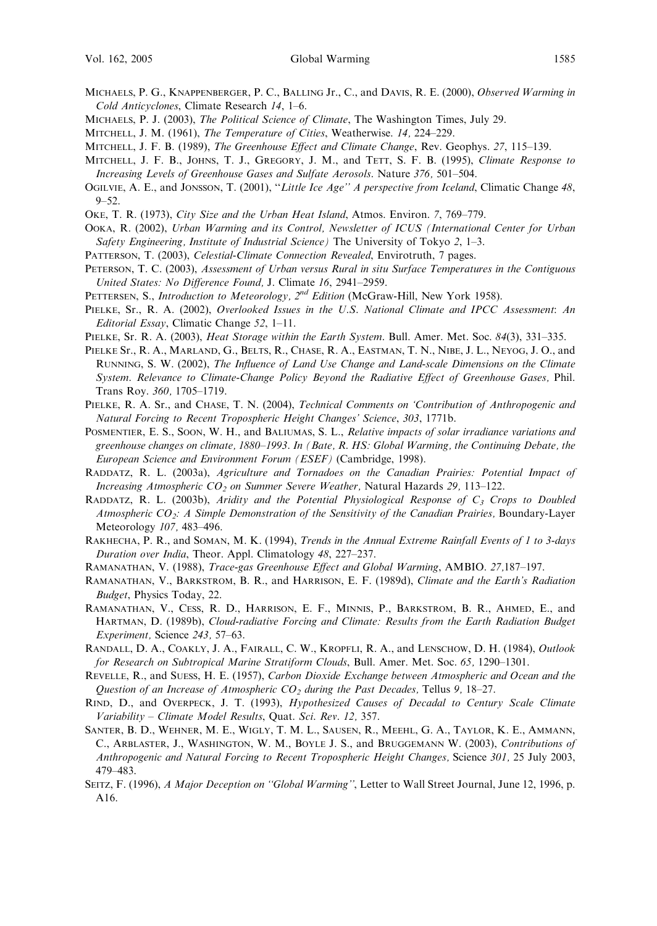- MICHAELS, P. G., KNAPPENBERGER, P. C., BALLING Jr., C., and DAVIS, R. E. (2000), *Observed Warming in* Cold Anticyclones, Climate Research 14, 1–6.
- MICHAELS, P. J. (2003), *The Political Science of Climate*, The Washington Times, July 29.
- MITCHELL, J. M. (1961), The Temperature of Cities, Weatherwise. 14, 224-229.
- MITCHELL, J. F. B. (1989), The Greenhouse Effect and Climate Change, Rev. Geophys. 27, 115–139.
- MITCHELL, J. F. B., JOHNS, T. J., GREGORY, J. M., and TETT, S. F. B. (1995), Climate Response to Increasing Levels of Greenhouse Gases and Sulfate Aerosols. Nature 376, 501–504.
- OGILVIE, A. E., and JONSSON, T. (2001), "Little Ice Age" A perspective from Iceland, Climatic Change 48, 9–52.
- OKE, T. R. (1973), City Size and the Urban Heat Island, Atmos. Environ. 7, 769–779.
- OOKA, R. (2002), Urban Warming and its Control, Newsletter of ICUS (International Center for Urban Safety Engineering, Institute of Industrial Science) The University of Tokyo 2, 1–3.
- PATTERSON, T. (2003), Celestial-Climate Connection Revealed, Envirotruth, 7 pages.
- PETERSON, T. C. (2003), Assessment of Urban versus Rural in situ Surface Temperatures in the Contiguous United States: No Difference Found, J. Climate 16, 2941–2959.
- PETTERSEN, S., *Introduction to Meteorology*,  $2^{nd}$  *Edition* (McGraw-Hill, New York 1958).
- PIELKE, Sr., R. A. (2002), Overlooked Issues in the U.S. National Climate and IPCC Assessment: An Editorial Essay, Climatic Change 52, 1–11.
- PIELKE, Sr. R. A. (2003), *Heat Storage within the Earth System*. Bull. Amer. Met. Soc. 84(3), 331–335.
- PIELKE Sr., R. A., MARLAND, G., BELTS, R., CHASE, R. A., EASTMAN, T. N., NIBE, J. L., NEYOG, J. O., and RUNNING, S. W. (2002), The Influence of Land Use Change and Land-scale Dimensions on the Climate System. Relevance to Climate-Change Policy Beyond the Radiative Effect of Greenhouse Gases, Phil. Trans Roy. 360, 1705–1719.
- PIELKE, R. A. Sr., and CHASE, T. N. (2004), Technical Comments on 'Contribution of Anthropogenic and Natural Forcing to Recent Tropospheric Height Changes' Science, 303, 1771b.
- POSMENTIER, E. S., SOON, W. H., and BALIUMAS, S. L., Relative impacts of solar irradiance variations and greenhouse changes on climate, 1880–1993. In (Bate, R. HS: Global Warming, the Continuing Debate, the European Science and Environment Forum (ESEF) (Cambridge, 1998).
- RADDATZ, R. L. (2003a), Agriculture and Tornadoes on the Canadian Prairies: Potential Impact of Increasing Atmospheric  $CO<sub>2</sub>$  on Summer Severe Weather, Natural Hazards 29, 113–122.
- RADDATZ, R. L. (2003b), Aridity and the Potential Physiological Response of  $C_3$  Crops to Doubled Atmospheric  $CO_2$ : A Simple Demonstration of the Sensitivity of the Canadian Prairies, Boundary-Layer Meteorology 107, 483–496.
- RAKHECHA, P. R., and SOMAN, M. K. (1994), Trends in the Annual Extreme Rainfall Events of 1 to 3-days Duration over India, Theor. Appl. Climatology 48, 227–237.
- RAMANATHAN, V. (1988), Trace-gas Greenhouse Effect and Global Warming, AMBIO. 27,187–197.
- RAMANATHAN, V., BARKSTROM, B. R., and HARRISON, E. F. (1989d), Climate and the Earth's Radiation Budget, Physics Today, 22.
- RAMANATHAN, V., CESS, R. D., HARRISON, E. F., MINNIS, P., BARKSTROM, B. R., AHMED, E., and HARTMAN, D. (1989b), Cloud-radiative Forcing and Climate: Results from the Earth Radiation Budget Experiment, Science 243, 57–63.
- RANDALL, D. A., COAKLY, J. A., FAIRALL, C. W., KROPFLI, R. A., and LENSCHOW, D. H. (1984), Outlook for Research on Subtropical Marine Stratiform Clouds, Bull. Amer. Met. Soc. 65, 1290–1301.
- REVELLE, R., and SUESS, H. E. (1957), Carbon Dioxide Exchange between Atmospheric and Ocean and the Question of an Increase of Atmospheric  $CO<sub>2</sub>$  during the Past Decades, Tellus 9, 18-27.
- RIND, D., and OVERPECK, J. T. (1993), *Hypothesized Causes of Decadal to Century Scale Climate* Variability – Climate Model Results, Quat. Sci. Rev. 12, 357.
- SANTER, B. D., WEHNER, M. E., WIGLY, T. M. L., SAUSEN, R., MEEHL, G. A., TAYLOR, K. E., AMMANN, C., ARBLASTER, J., WASHINGTON, W. M., BOYLE J. S., and BRUGGEMANN W. (2003), Contributions of Anthropogenic and Natural Forcing to Recent Tropospheric Height Changes, Science 301, 25 July 2003, 479–483.
- SEITZ, F. (1996), A Major Deception on ''Global Warming'', Letter to Wall Street Journal, June 12, 1996, p. A16.